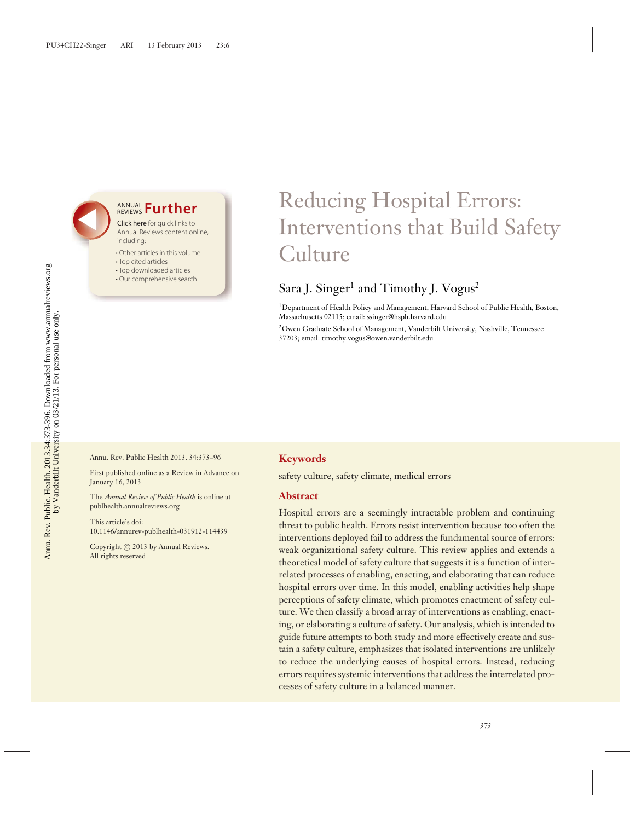# **ANNUAL Further**

Click here for quick links to Annual Reviews content online, including:

- Other articles in this volume
- Top cited articles
- Top downloaded articles
- Our comprehensive search

# Reducing Hospital Errors: Interventions that Build Safety Culture

# Sara J. Singer<sup>1</sup> and Timothy J. Vogus<sup>2</sup>

<sup>1</sup>Department of Health Policy and Management, Harvard School of Public Health, Boston, Massachusetts 02115; email: ssinger@hsph.harvard.edu

<sup>2</sup>Owen Graduate School of Management, Vanderbilt University, Nashville, Tennessee 37203; email: timothy.vogus@owen.vanderbilt.edu

Annu. Rev. Public Health 2013. 34:373–96

First published online as a Review in Advance on January 16, 2013

The *Annual Review of Public Health* is online at publhealth.annualreviews.org

This article's doi: 10.1146/annurev-publhealth-031912-114439

Copyright © 2013 by Annual Reviews. All rights reserved

#### **Keywords**

safety culture, safety climate, medical errors

### **Abstract**

Hospital errors are a seemingly intractable problem and continuing threat to public health. Errors resist intervention because too often the interventions deployed fail to address the fundamental source of errors: weak organizational safety culture. This review applies and extends a theoretical model of safety culture that suggests it is a function of interrelated processes of enabling, enacting, and elaborating that can reduce hospital errors over time. In this model, enabling activities help shape perceptions of safety climate, which promotes enactment of safety culture. We then classify a broad array of interventions as enabling, enacting, or elaborating a culture of safety. Our analysis, which is intended to guide future attempts to both study and more effectively create and sustain a safety culture, emphasizes that isolated interventions are unlikely to reduce the underlying causes of hospital errors. Instead, reducing errors requires systemic interventions that address the interrelated processes of safety culture in a balanced manner.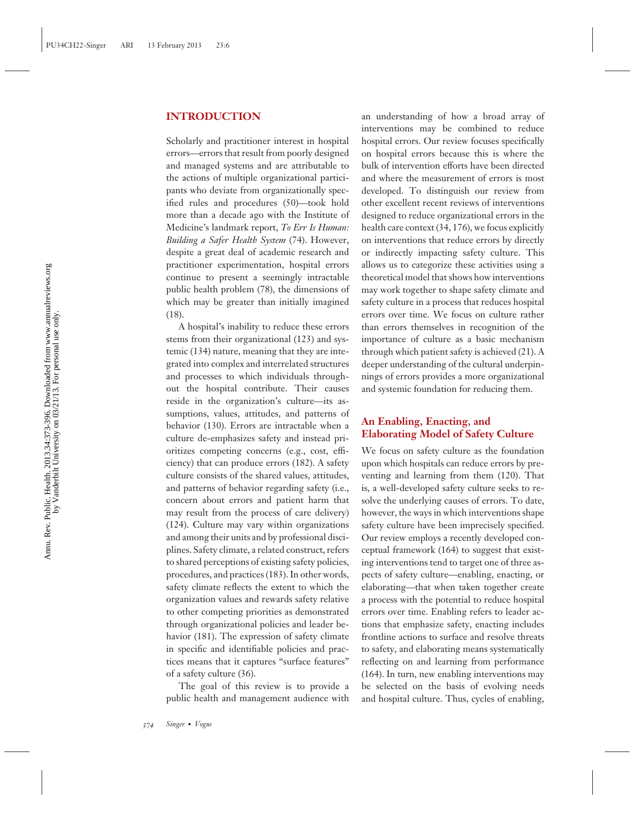# **INTRODUCTION**

Scholarly and practitioner interest in hospital errors—errors that result from poorly designed and managed systems and are attributable to the actions of multiple organizational participants who deviate from organizationally specified rules and procedures (50)—took hold more than a decade ago with the Institute of Medicine's landmark report, *To Err Is Human: Building a Safer Health System* (74). However, despite a great deal of academic research and practitioner experimentation, hospital errors continue to present a seemingly intractable public health problem (78), the dimensions of which may be greater than initially imagined (18).

A hospital's inability to reduce these errors stems from their organizational (123) and systemic (134) nature, meaning that they are integrated into complex and interrelated structures and processes to which individuals throughout the hospital contribute. Their causes reside in the organization's culture—its assumptions, values, attitudes, and patterns of behavior (130). Errors are intractable when a culture de-emphasizes safety and instead prioritizes competing concerns (e.g., cost, efficiency) that can produce errors (182). A safety culture consists of the shared values, attitudes, and patterns of behavior regarding safety (i.e., concern about errors and patient harm that may result from the process of care delivery) (124). Culture may vary within organizations and among their units and by professional disciplines. Safety climate, a related construct, refers to shared perceptions of existing safety policies, procedures, and practices (183). In other words, safety climate reflects the extent to which the organization values and rewards safety relative to other competing priorities as demonstrated through organizational policies and leader behavior (181). The expression of safety climate in specific and identifiable policies and practices means that it captures "surface features" of a safety culture (36).

The goal of this review is to provide a public health and management audience with an understanding of how a broad array of interventions may be combined to reduce hospital errors. Our review focuses specifically on hospital errors because this is where the bulk of intervention efforts have been directed and where the measurement of errors is most developed. To distinguish our review from other excellent recent reviews of interventions designed to reduce organizational errors in the health care context (34, 176), we focus explicitly on interventions that reduce errors by directly or indirectly impacting safety culture. This allows us to categorize these activities using a theoretical model that shows how interventions may work together to shape safety climate and safety culture in a process that reduces hospital errors over time. We focus on culture rather than errors themselves in recognition of the importance of culture as a basic mechanism through which patient safety is achieved (21). A deeper understanding of the cultural underpinnings of errors provides a more organizational and systemic foundation for reducing them.

# **An Enabling, Enacting, and Elaborating Model of Safety Culture**

We focus on safety culture as the foundation upon which hospitals can reduce errors by preventing and learning from them (120). That is, a well-developed safety culture seeks to resolve the underlying causes of errors. To date, however, the ways in which interventions shape safety culture have been imprecisely specified. Our review employs a recently developed conceptual framework (164) to suggest that existing interventions tend to target one of three aspects of safety culture—enabling, enacting, or elaborating—that when taken together create a process with the potential to reduce hospital errors over time. Enabling refers to leader actions that emphasize safety, enacting includes frontline actions to surface and resolve threats to safety, and elaborating means systematically reflecting on and learning from performance (164). In turn, new enabling interventions may be selected on the basis of evolving needs and hospital culture. Thus, cycles of enabling,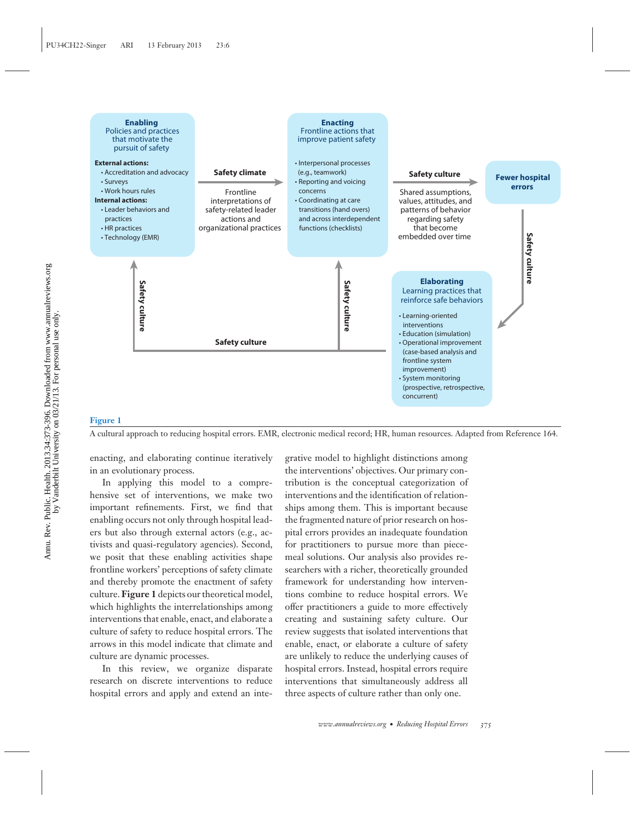

#### **Figure 1**

A cultural approach to reducing hospital errors. EMR, electronic medical record; HR, human resources. Adapted from Reference 164.

enacting, and elaborating continue iteratively in an evolutionary process.

In applying this model to a comprehensive set of interventions, we make two important refinements. First, we find that enabling occurs not only through hospital leaders but also through external actors (e.g., activists and quasi-regulatory agencies). Second, we posit that these enabling activities shape frontline workers' perceptions of safety climate and thereby promote the enactment of safety culture. **Figure 1** depicts our theoretical model, which highlights the interrelationships among interventions that enable, enact, and elaborate a culture of safety to reduce hospital errors. The arrows in this model indicate that climate and culture are dynamic processes.

In this review, we organize disparate research on discrete interventions to reduce hospital errors and apply and extend an inte-

grative model to highlight distinctions among the interventions' objectives. Our primary contribution is the conceptual categorization of interventions and the identification of relationships among them. This is important because the fragmented nature of prior research on hospital errors provides an inadequate foundation for practitioners to pursue more than piecemeal solutions. Our analysis also provides researchers with a richer, theoretically grounded framework for understanding how interventions combine to reduce hospital errors. We offer practitioners a guide to more effectively creating and sustaining safety culture. Our review suggests that isolated interventions that enable, enact, or elaborate a culture of safety are unlikely to reduce the underlying causes of hospital errors. Instead, hospital errors require interventions that simultaneously address all three aspects of culture rather than only one.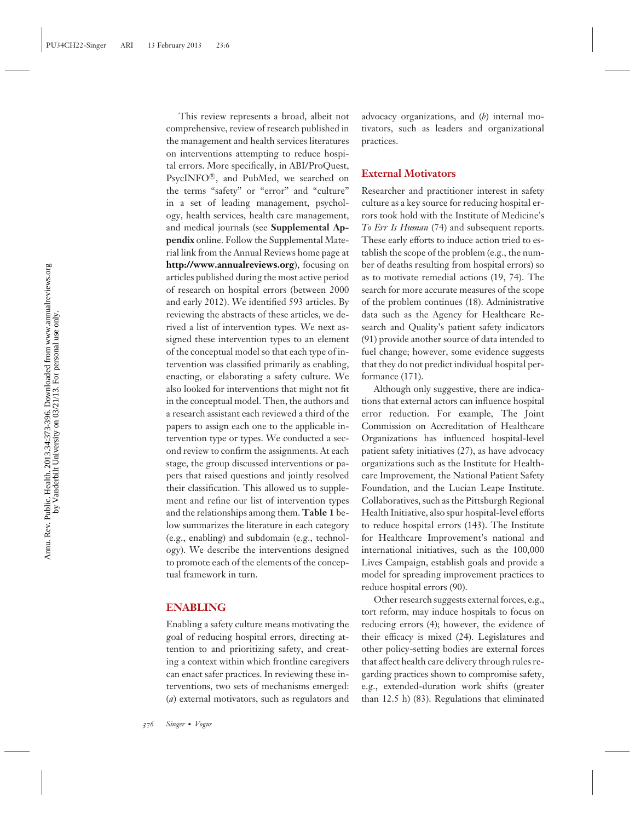Annu. Rev. Public. Health. 2013.34:373-396. Downloaded from www.annualreviews.org<br>by Vanderbilt University on 03/21/13. For personal use only. Annu. Rev. Public. Health. 2013.34:373-396. Downloaded from www.annualreviews.org by Vanderbilt University on 03/21/13. For personal use only.

This review represents a broad, albeit not comprehensive, review of research published in the management and health services literatures on interventions attempting to reduce hospital errors. More specifically, in ABI/ProQuest, PsycINFO<sup>®</sup>, and PubMed, we searched on the terms "safety" or "error" and "culture" in a set of leading management, psychology, health services, health care management, and medical journals (see **Supplemental Appendix** online. Follow the Supplemental Material link from the Annual Reviews home page at **<http://www.annualreviews.org>**), focusing on articles published during the most active period of research on hospital errors (between 2000 and early 2012). We identified 593 articles. By reviewing the abstracts of these articles, we derived a list of intervention types. We next assigned these intervention types to an element of the conceptual model so that each type of intervention was classified primarily as enabling, enacting, or elaborating a safety culture. We also looked for interventions that might not fit in the conceptual model. Then, the authors and a research assistant each reviewed a third of the papers to assign each one to the applicable intervention type or types. We conducted a second review to confirm the assignments. At each stage, the group discussed interventions or papers that raised questions and jointly resolved their classification. This allowed us to supplement and refine our list of intervention types and the relationships among them. **Table 1** below summarizes the literature in each category (e.g., enabling) and subdomain (e.g., technology). We describe the interventions designed to promote each of the elements of the conceptual framework in turn.

#### **ENABLING**

Enabling a safety culture means motivating the goal of reducing hospital errors, directing attention to and prioritizing safety, and creating a context within which frontline caregivers can enact safer practices. In reviewing these interventions, two sets of mechanisms emerged: (*a*) external motivators, such as regulators and advocacy organizations, and (*b*) internal motivators, such as leaders and organizational practices.

## **External Motivators**

Researcher and practitioner interest in safety culture as a key source for reducing hospital errors took hold with the Institute of Medicine's *To Err Is Human* (74) and subsequent reports. These early efforts to induce action tried to establish the scope of the problem (e.g., the number of deaths resulting from hospital errors) so as to motivate remedial actions (19, 74). The search for more accurate measures of the scope of the problem continues (18). Administrative data such as the Agency for Healthcare Research and Quality's patient safety indicators (91) provide another source of data intended to fuel change; however, some evidence suggests that they do not predict individual hospital performance (171).

Although only suggestive, there are indications that external actors can influence hospital error reduction. For example, The Joint Commission on Accreditation of Healthcare Organizations has influenced hospital-level patient safety initiatives (27), as have advocacy organizations such as the Institute for Healthcare Improvement, the National Patient Safety Foundation, and the Lucian Leape Institute. Collaboratives, such as the Pittsburgh Regional Health Initiative, also spur hospital-level efforts to reduce hospital errors (143). The Institute for Healthcare Improvement's national and international initiatives, such as the 100,000 Lives Campaign, establish goals and provide a model for spreading improvement practices to reduce hospital errors (90).

Other research suggests external forces, e.g., tort reform, may induce hospitals to focus on reducing errors (4); however, the evidence of their efficacy is mixed (24). Legislatures and other policy-setting bodies are external forces that affect health care delivery through rules regarding practices shown to compromise safety, e.g., extended-duration work shifts (greater than 12.5 h) (83). Regulations that eliminated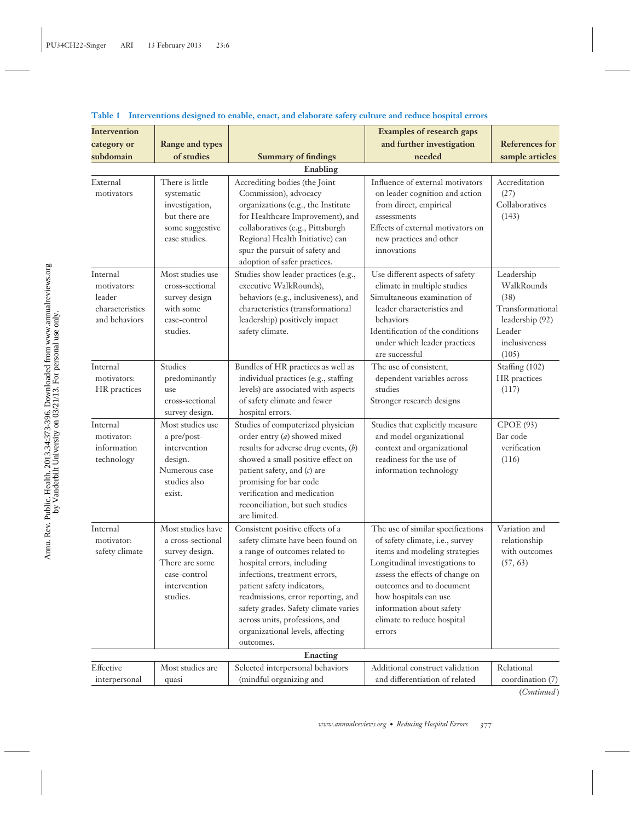| and further investigation<br><b>References</b> for<br>category or<br>Range and types<br>subdomain<br>of studies<br>needed<br>sample articles<br><b>Summary of findings</b><br>Enabling<br>External<br>There is little<br>Accrediting bodies (the Joint<br>Influence of external motivators<br>Accreditation<br>Commission), advocacy<br>on leader cognition and action<br>motivators<br>systematic<br>(27)<br>Collaboratives<br>investigation,<br>organizations (e.g., the Institute<br>from direct, empirical<br>for Healthcare Improvement), and<br>but there are<br>(143)<br>assessments<br>Effects of external motivators on<br>collaboratives (e.g., Pittsburgh<br>some suggestive<br>case studies.<br>Regional Health Initiative) can<br>new practices and other<br>spur the pursuit of safety and<br>innovations<br>adoption of safer practices.<br>Most studies use<br>Studies show leader practices (e.g.,<br>Use different aspects of safety<br>Internal<br>Leadership<br>cross-sectional<br>executive WalkRounds),<br>climate in multiple studies<br>WalkRounds<br>motivators:<br>Simultaneous examination of<br>survey design<br>behaviors (e.g., inclusiveness), and<br>(38)<br>leader<br>Transformational<br>characteristics<br>with some<br>characteristics (transformational<br>leader characteristics and<br>and behaviors<br>leadership) positively impact<br>behaviors<br>leadership (92)<br>case-control<br>Leader<br>studies.<br>safety climate.<br>Identification of the conditions<br>inclusiveness<br>under which leader practices<br>are successful<br>(105)<br>Internal<br>Studies<br>Bundles of HR practices as well as<br>The use of consistent,<br>Staffing (102)<br>motivators:<br>individual practices (e.g., staffing<br>dependent variables across<br>HR practices<br>predominantly<br>levels) are associated with aspects<br>studies<br>(117)<br>HR practices<br>use<br>of safety climate and fewer<br>Stronger research designs<br>cross-sectional<br>hospital errors.<br>survey design.<br>Internal<br>Most studies use<br>Studies of computerized physician<br>CPOE (93)<br>Studies that explicitly measure<br>order entry (a) showed mixed<br>and model organizational<br>Bar code<br>motivator:<br>a pre/post-<br>results for adverse drug events, (b)<br>context and organizational<br>information<br>intervention<br>verification |  |
|----------------------------------------------------------------------------------------------------------------------------------------------------------------------------------------------------------------------------------------------------------------------------------------------------------------------------------------------------------------------------------------------------------------------------------------------------------------------------------------------------------------------------------------------------------------------------------------------------------------------------------------------------------------------------------------------------------------------------------------------------------------------------------------------------------------------------------------------------------------------------------------------------------------------------------------------------------------------------------------------------------------------------------------------------------------------------------------------------------------------------------------------------------------------------------------------------------------------------------------------------------------------------------------------------------------------------------------------------------------------------------------------------------------------------------------------------------------------------------------------------------------------------------------------------------------------------------------------------------------------------------------------------------------------------------------------------------------------------------------------------------------------------------------------------------------------------------------------------------------------------------------------------------------------------------------------------------------------------------------------------------------------------------------------------------------------------------------------------------------------------------------------------------------------------------------------------------------------------------------------------------------------------------------------------------------------------------------------------------------------------|--|
|                                                                                                                                                                                                                                                                                                                                                                                                                                                                                                                                                                                                                                                                                                                                                                                                                                                                                                                                                                                                                                                                                                                                                                                                                                                                                                                                                                                                                                                                                                                                                                                                                                                                                                                                                                                                                                                                                                                                                                                                                                                                                                                                                                                                                                                                                                                                                                            |  |
|                                                                                                                                                                                                                                                                                                                                                                                                                                                                                                                                                                                                                                                                                                                                                                                                                                                                                                                                                                                                                                                                                                                                                                                                                                                                                                                                                                                                                                                                                                                                                                                                                                                                                                                                                                                                                                                                                                                                                                                                                                                                                                                                                                                                                                                                                                                                                                            |  |
|                                                                                                                                                                                                                                                                                                                                                                                                                                                                                                                                                                                                                                                                                                                                                                                                                                                                                                                                                                                                                                                                                                                                                                                                                                                                                                                                                                                                                                                                                                                                                                                                                                                                                                                                                                                                                                                                                                                                                                                                                                                                                                                                                                                                                                                                                                                                                                            |  |
|                                                                                                                                                                                                                                                                                                                                                                                                                                                                                                                                                                                                                                                                                                                                                                                                                                                                                                                                                                                                                                                                                                                                                                                                                                                                                                                                                                                                                                                                                                                                                                                                                                                                                                                                                                                                                                                                                                                                                                                                                                                                                                                                                                                                                                                                                                                                                                            |  |
|                                                                                                                                                                                                                                                                                                                                                                                                                                                                                                                                                                                                                                                                                                                                                                                                                                                                                                                                                                                                                                                                                                                                                                                                                                                                                                                                                                                                                                                                                                                                                                                                                                                                                                                                                                                                                                                                                                                                                                                                                                                                                                                                                                                                                                                                                                                                                                            |  |
|                                                                                                                                                                                                                                                                                                                                                                                                                                                                                                                                                                                                                                                                                                                                                                                                                                                                                                                                                                                                                                                                                                                                                                                                                                                                                                                                                                                                                                                                                                                                                                                                                                                                                                                                                                                                                                                                                                                                                                                                                                                                                                                                                                                                                                                                                                                                                                            |  |
| showed a small positive effect on<br>readiness for the use of<br>technology<br>design.<br>(116)<br>patient safety, and $(c)$ are<br>Numerous case<br>information technology<br>promising for bar code<br>studies also<br>verification and medication<br>exist.<br>reconciliation, but such studies<br>are limited.                                                                                                                                                                                                                                                                                                                                                                                                                                                                                                                                                                                                                                                                                                                                                                                                                                                                                                                                                                                                                                                                                                                                                                                                                                                                                                                                                                                                                                                                                                                                                                                                                                                                                                                                                                                                                                                                                                                                                                                                                                                         |  |
| Internal<br>Most studies have<br>Consistent positive effects of a<br>Variation and<br>The use of similar specifications<br>a cross-sectional<br>safety climate have been found on<br>of safety climate, i.e., survey<br>motivator:<br>relationship<br>a range of outcomes related to<br>items and modeling strategies<br>with outcomes<br>safety climate<br>survey design.<br>There are some<br>hospital errors, including<br>Longitudinal investigations to<br>(57, 63)<br>infections, treatment errors,<br>assess the effects of change on<br>case-control<br>patient safety indicators,<br>outcomes and to document<br>intervention<br>readmissions, error reporting, and<br>studies.<br>how hospitals can use<br>safety grades. Safety climate varies<br>information about safety<br>across units, professions, and<br>climate to reduce hospital<br>organizational levels, affecting<br>errors<br>outcomes.                                                                                                                                                                                                                                                                                                                                                                                                                                                                                                                                                                                                                                                                                                                                                                                                                                                                                                                                                                                                                                                                                                                                                                                                                                                                                                                                                                                                                                                           |  |
| Enacting                                                                                                                                                                                                                                                                                                                                                                                                                                                                                                                                                                                                                                                                                                                                                                                                                                                                                                                                                                                                                                                                                                                                                                                                                                                                                                                                                                                                                                                                                                                                                                                                                                                                                                                                                                                                                                                                                                                                                                                                                                                                                                                                                                                                                                                                                                                                                                   |  |
| Effective<br>Selected interpersonal behaviors<br>Additional construct validation<br>Relational<br>Most studies are                                                                                                                                                                                                                                                                                                                                                                                                                                                                                                                                                                                                                                                                                                                                                                                                                                                                                                                                                                                                                                                                                                                                                                                                                                                                                                                                                                                                                                                                                                                                                                                                                                                                                                                                                                                                                                                                                                                                                                                                                                                                                                                                                                                                                                                         |  |
| (mindful organizing and<br>and differentiation of related<br>coordination (7)<br>interpersonal<br>quasi<br>(Continued)                                                                                                                                                                                                                                                                                                                                                                                                                                                                                                                                                                                                                                                                                                                                                                                                                                                                                                                                                                                                                                                                                                                                                                                                                                                                                                                                                                                                                                                                                                                                                                                                                                                                                                                                                                                                                                                                                                                                                                                                                                                                                                                                                                                                                                                     |  |

|  | Table 1 Interventions designed to enable, enact, and elaborate safety culture and reduce hospital errors |  |  |  |  |  |  |  |  |  |
|--|----------------------------------------------------------------------------------------------------------|--|--|--|--|--|--|--|--|--|
|--|----------------------------------------------------------------------------------------------------------|--|--|--|--|--|--|--|--|--|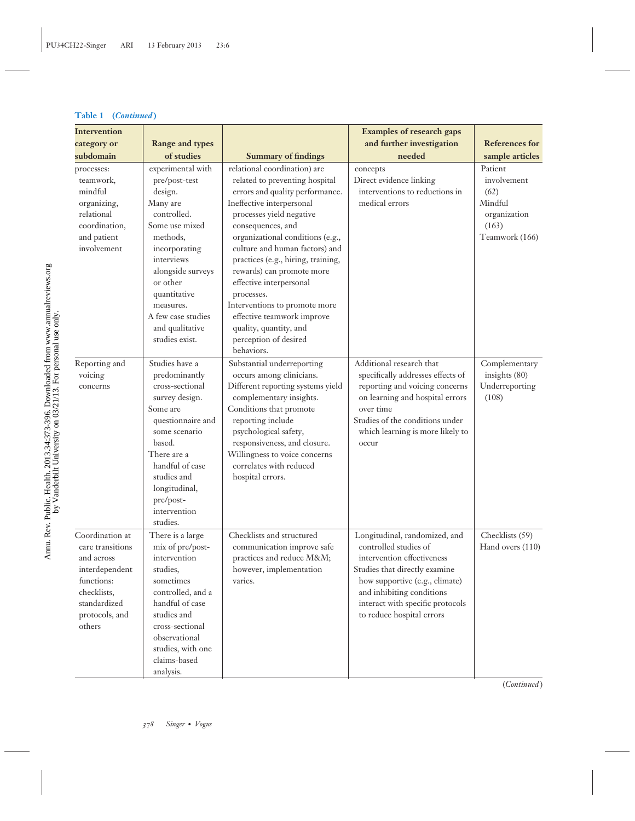# **Table 1 (***Continued* **)**

| <b>Intervention</b>                                                                                                                          |                                                                                                                                                                                                                                                                |                                                                                                                                                                                                                                                                                                                                                                                                                                                                                     | <b>Examples of research gaps</b>                                                                                                                                                                                                                      |                                                                                      |
|----------------------------------------------------------------------------------------------------------------------------------------------|----------------------------------------------------------------------------------------------------------------------------------------------------------------------------------------------------------------------------------------------------------------|-------------------------------------------------------------------------------------------------------------------------------------------------------------------------------------------------------------------------------------------------------------------------------------------------------------------------------------------------------------------------------------------------------------------------------------------------------------------------------------|-------------------------------------------------------------------------------------------------------------------------------------------------------------------------------------------------------------------------------------------------------|--------------------------------------------------------------------------------------|
| category or                                                                                                                                  | Range and types                                                                                                                                                                                                                                                |                                                                                                                                                                                                                                                                                                                                                                                                                                                                                     | and further investigation                                                                                                                                                                                                                             | <b>References</b> for                                                                |
| subdomain                                                                                                                                    | of studies                                                                                                                                                                                                                                                     | <b>Summary of findings</b>                                                                                                                                                                                                                                                                                                                                                                                                                                                          | needed                                                                                                                                                                                                                                                | sample articles                                                                      |
| processes:<br>teamwork,<br>mindful<br>organizing,<br>relational<br>coordination,<br>and patient<br>involvement                               | experimental with<br>pre/post-test<br>design.<br>Many are<br>controlled.<br>Some use mixed<br>methods,<br>incorporating<br>interviews<br>alongside surveys<br>or other<br>quantitative<br>measures.<br>A few case studies<br>and qualitative<br>studies exist. | relational coordination) are<br>related to preventing hospital<br>errors and quality performance.<br>Ineffective interpersonal<br>processes yield negative<br>consequences, and<br>organizational conditions (e.g.,<br>culture and human factors) and<br>practices (e.g., hiring, training,<br>rewards) can promote more<br>effective interpersonal<br>processes.<br>Interventions to promote more<br>effective teamwork improve<br>quality, quantity, and<br>perception of desired | concepts<br>Direct evidence linking<br>interventions to reductions in<br>medical errors                                                                                                                                                               | Patient<br>involvement<br>(62)<br>Mindful<br>organization<br>(163)<br>Teamwork (166) |
| Reporting and<br>voicing<br>concerns                                                                                                         | Studies have a<br>predominantly<br>cross-sectional<br>survey design.<br>Some are<br>questionnaire and<br>some scenario<br>based.<br>There are a<br>handful of case<br>studies and<br>longitudinal,<br>pre/post-<br>intervention<br>studies.                    | behaviors.<br>Substantial underreporting<br>occurs among clinicians.<br>Different reporting systems yield<br>complementary insights.<br>Conditions that promote<br>reporting include<br>psychological safety,<br>responsiveness, and closure.<br>Willingness to voice concerns<br>correlates with reduced<br>hospital errors.                                                                                                                                                       | Additional research that<br>specifically addresses effects of<br>reporting and voicing concerns<br>on learning and hospital errors<br>over time<br>Studies of the conditions under<br>which learning is more likely to<br>occur                       | Complementary<br>insights (80)<br>Underreporting<br>(108)                            |
| Coordination at<br>care transitions<br>and across<br>interdependent<br>functions:<br>checklists,<br>standardized<br>protocols, and<br>others | There is a large<br>mix of pre/post-<br>intervention<br>studies,<br>sometimes<br>controlled, and a<br>handful of case<br>studies and<br>cross-sectional<br>observational<br>studies, with one<br>claims-based<br>analysis.                                     | Checklists and structured<br>communication improve safe<br>practices and reduce M&M<br>however, implementation<br>varies.                                                                                                                                                                                                                                                                                                                                                           | Longitudinal, randomized, and<br>controlled studies of<br>intervention effectiveness<br>Studies that directly examine<br>how supportive (e.g., climate)<br>and inhibiting conditions<br>interact with specific protocols<br>to reduce hospital errors | Checklists (59)<br>Hand overs (110)                                                  |

(*Continued* )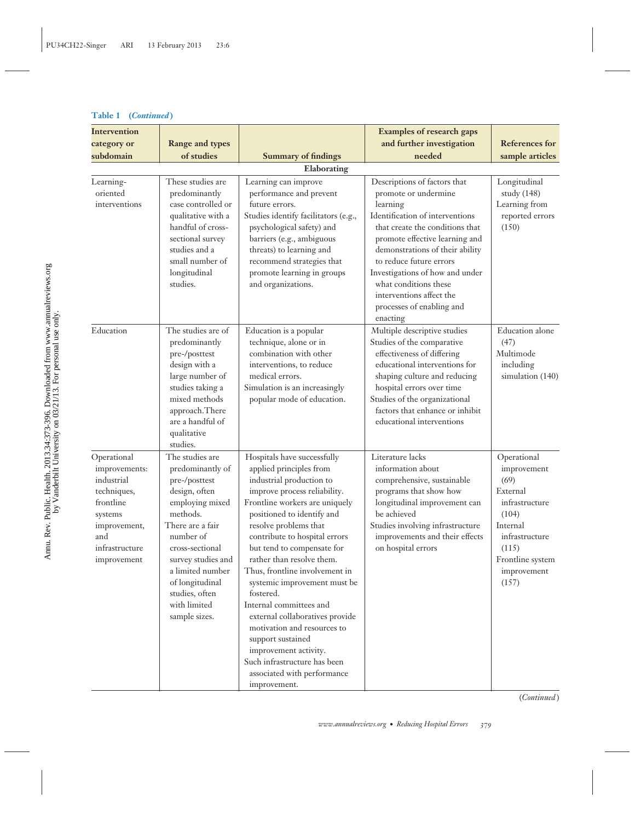| <b>Intervention</b>                                                                                                                       |                                                                                                                                                                                                                                                                          |                                                                                                                                                                                                                                                                                                                                                                                                                                                                                                                                                                                                                  | <b>Examples of research gaps</b>                                                                                                                                                                                                                                                                                                                                        |                                                                                                                                                              |
|-------------------------------------------------------------------------------------------------------------------------------------------|--------------------------------------------------------------------------------------------------------------------------------------------------------------------------------------------------------------------------------------------------------------------------|------------------------------------------------------------------------------------------------------------------------------------------------------------------------------------------------------------------------------------------------------------------------------------------------------------------------------------------------------------------------------------------------------------------------------------------------------------------------------------------------------------------------------------------------------------------------------------------------------------------|-------------------------------------------------------------------------------------------------------------------------------------------------------------------------------------------------------------------------------------------------------------------------------------------------------------------------------------------------------------------------|--------------------------------------------------------------------------------------------------------------------------------------------------------------|
| category or                                                                                                                               | Range and types                                                                                                                                                                                                                                                          |                                                                                                                                                                                                                                                                                                                                                                                                                                                                                                                                                                                                                  | and further investigation                                                                                                                                                                                                                                                                                                                                               | References for                                                                                                                                               |
| subdomain                                                                                                                                 | of studies                                                                                                                                                                                                                                                               | <b>Summary of findings</b>                                                                                                                                                                                                                                                                                                                                                                                                                                                                                                                                                                                       | needed                                                                                                                                                                                                                                                                                                                                                                  | sample articles                                                                                                                                              |
|                                                                                                                                           |                                                                                                                                                                                                                                                                          | Elaborating                                                                                                                                                                                                                                                                                                                                                                                                                                                                                                                                                                                                      |                                                                                                                                                                                                                                                                                                                                                                         |                                                                                                                                                              |
| Learning-<br>oriented<br>interventions                                                                                                    | These studies are<br>predominantly<br>case controlled or<br>qualitative with a<br>handful of cross-<br>sectional survey<br>studies and a<br>small number of<br>longitudinal<br>studies.                                                                                  | Learning can improve<br>performance and prevent<br>future errors.<br>Studies identify facilitators (e.g.,<br>psychological safety) and<br>barriers (e.g., ambiguous<br>threats) to learning and<br>recommend strategies that<br>promote learning in groups<br>and organizations.                                                                                                                                                                                                                                                                                                                                 | Descriptions of factors that<br>promote or undermine<br>learning<br>Identification of interventions<br>that create the conditions that<br>promote effective learning and<br>demonstrations of their ability<br>to reduce future errors<br>Investigations of how and under<br>what conditions these<br>interventions affect the<br>processes of enabling and<br>enacting | Longitudinal<br>study (148)<br>Learning from<br>reported errors<br>(150)                                                                                     |
| Education                                                                                                                                 | The studies are of<br>predominantly<br>pre-/posttest<br>design with a<br>large number of<br>studies taking a<br>mixed methods<br>approach.There<br>are a handful of<br>qualitative<br>studies.                                                                           | Education is a popular<br>technique, alone or in<br>combination with other<br>interventions, to reduce<br>medical errors.<br>Simulation is an increasingly<br>popular mode of education.                                                                                                                                                                                                                                                                                                                                                                                                                         | Multiple descriptive studies<br>Studies of the comparative<br>effectiveness of differing<br>educational interventions for<br>shaping culture and reducing<br>hospital errors over time<br>Studies of the organizational<br>factors that enhance or inhibit<br>educational interventions                                                                                 | Education alone<br>(47)<br>Multimode<br>including<br>simulation (140)                                                                                        |
| Operational<br>improvements:<br>industrial<br>techniques,<br>frontline<br>systems<br>improvement,<br>and<br>infrastructure<br>improvement | The studies are<br>predominantly of<br>pre-/posttest<br>design, often<br>employing mixed<br>methods.<br>There are a fair<br>number of<br>cross-sectional<br>survey studies and<br>a limited number<br>of longitudinal<br>studies, often<br>with limited<br>sample sizes. | Hospitals have successfully<br>applied principles from<br>industrial production to<br>improve process reliability.<br>Frontline workers are uniquely<br>positioned to identify and<br>resolve problems that<br>contribute to hospital errors<br>but tend to compensate for<br>rather than resolve them.<br>Thus, frontline involvement in<br>systemic improvement must be<br>fostered.<br>Internal committees and<br>external collaboratives provide<br>motivation and resources to<br>support sustained<br>improvement activity.<br>Such infrastructure has been<br>associated with performance<br>improvement. | Literature lacks<br>information about<br>comprehensive, sustainable<br>programs that show how<br>longitudinal improvement can<br>be achieved<br>Studies involving infrastructure<br>improvements and their effects<br>on hospital errors                                                                                                                                | Operational<br>improvement<br>(69)<br>External<br>infrastructure<br>(104)<br>Internal<br>infrastructure<br>(115)<br>Frontline system<br>improvement<br>(157) |

# **Table 1 (***Continued* **)**

(*Continued* )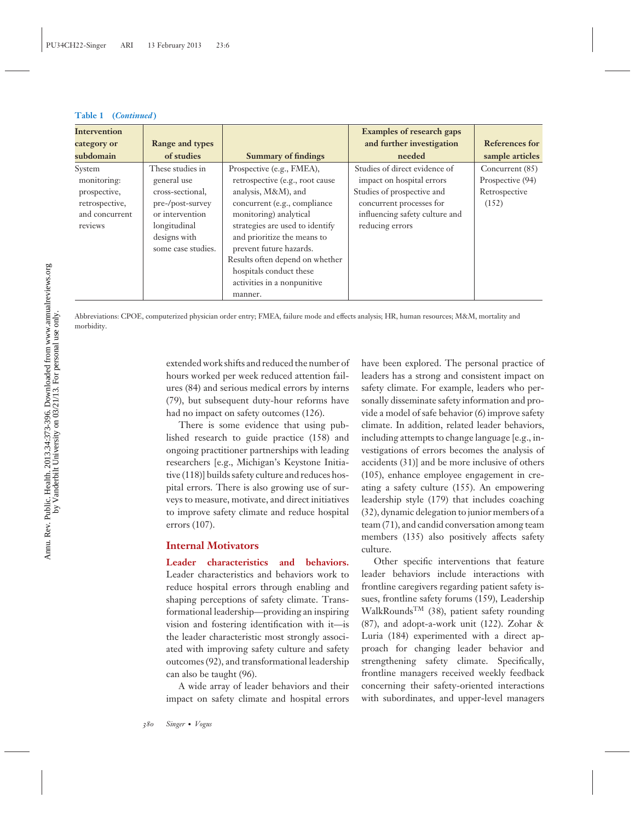#### **Table 1 (***Continued* **)**

| <b>Intervention</b> |                    |                                 | Examples of research gaps      |                  |
|---------------------|--------------------|---------------------------------|--------------------------------|------------------|
| category or         | Range and types    |                                 | and further investigation      | References for   |
| subdomain           | of studies         | <b>Summary of findings</b>      | needed                         | sample articles  |
| System              | These studies in   | Prospective (e.g., FMEA),       | Studies of direct evidence of  | Concurrent (85)  |
| monitoring:         | general use        | retrospective (e.g., root cause | impact on hospital errors      | Prospective (94) |
| prospective,        | cross-sectional,   | analysis, M&M), and             | Studies of prospective and     | Retrospective    |
| retrospective,      | pre-/post-survey   | concurrent (e.g., compliance    | concurrent processes for       | (152)            |
| and concurrent      | or intervention    | monitoring) analytical          | influencing safety culture and |                  |
| reviews             | longitudinal       | strategies are used to identify | reducing errors                |                  |
|                     | designs with       | and prioritize the means to     |                                |                  |
|                     | some case studies. | prevent future hazards.         |                                |                  |
|                     |                    | Results often depend on whether |                                |                  |
|                     |                    | hospitals conduct these         |                                |                  |
|                     |                    | activities in a nonpunitive     |                                |                  |
|                     |                    | manner.                         |                                |                  |

Abbreviations: CPOE, computerized physician order entry; FMEA, failure mode and effects analysis; HR, human resources; M&M, mortality and morbidity.

> extended work shifts and reduced the number of hours worked per week reduced attention failures (84) and serious medical errors by interns (79), but subsequent duty-hour reforms have had no impact on safety outcomes (126).

> There is some evidence that using published research to guide practice (158) and ongoing practitioner partnerships with leading researchers [e.g., Michigan's Keystone Initiative (118)] builds safety culture and reduces hospital errors. There is also growing use of surveys to measure, motivate, and direct initiatives to improve safety climate and reduce hospital errors (107).

#### **Internal Motivators**

**Leader characteristics and behaviors.** Leader characteristics and behaviors work to reduce hospital errors through enabling and shaping perceptions of safety climate. Transformational leadership—providing an inspiring vision and fostering identification with it—is the leader characteristic most strongly associated with improving safety culture and safety outcomes (92), and transformational leadership can also be taught (96).

A wide array of leader behaviors and their impact on safety climate and hospital errors have been explored. The personal practice of leaders has a strong and consistent impact on safety climate. For example, leaders who personally disseminate safety information and provide a model of safe behavior (6) improve safety climate. In addition, related leader behaviors, including attempts to change language [e.g., investigations of errors becomes the analysis of accidents (31)] and be more inclusive of others (105), enhance employee engagement in creating a safety culture (155). An empowering leadership style (179) that includes coaching (32), dynamic delegation to junior members of a team (71), and candid conversation among team members (135) also positively affects safety culture.

Other specific interventions that feature leader behaviors include interactions with frontline caregivers regarding patient safety issues, frontline safety forums (159), Leadership WalkRoundsTM (38), patient safety rounding (87), and adopt-a-work unit (122). Zohar & Luria (184) experimented with a direct approach for changing leader behavior and strengthening safety climate. Specifically, frontline managers received weekly feedback concerning their safety-oriented interactions with subordinates, and upper-level managers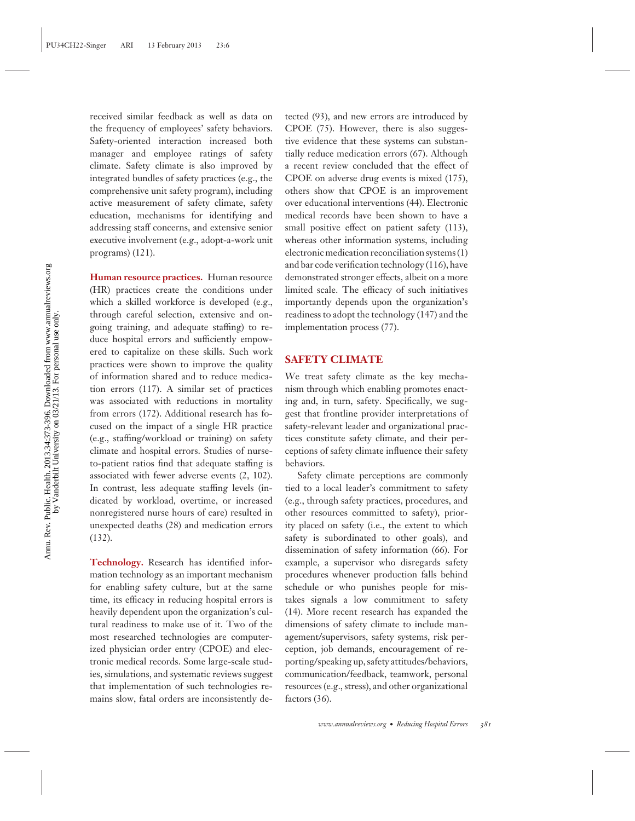received similar feedback as well as data on the frequency of employees' safety behaviors. Safety-oriented interaction increased both manager and employee ratings of safety climate. Safety climate is also improved by integrated bundles of safety practices (e.g., the comprehensive unit safety program), including active measurement of safety climate, safety education, mechanisms for identifying and addressing staff concerns, and extensive senior executive involvement (e.g., adopt-a-work unit programs) (121).

**Human resource practices.** Human resource (HR) practices create the conditions under which a skilled workforce is developed (e.g., through careful selection, extensive and ongoing training, and adequate staffing) to reduce hospital errors and sufficiently empowered to capitalize on these skills. Such work practices were shown to improve the quality of information shared and to reduce medication errors (117). A similar set of practices was associated with reductions in mortality from errors (172). Additional research has focused on the impact of a single HR practice (e.g., staffing/workload or training) on safety climate and hospital errors. Studies of nurseto-patient ratios find that adequate staffing is associated with fewer adverse events (2, 102). In contrast, less adequate staffing levels (indicated by workload, overtime, or increased nonregistered nurse hours of care) resulted in unexpected deaths (28) and medication errors (132).

**Technology.** Research has identified information technology as an important mechanism for enabling safety culture, but at the same time, its efficacy in reducing hospital errors is heavily dependent upon the organization's cultural readiness to make use of it. Two of the most researched technologies are computerized physician order entry (CPOE) and electronic medical records. Some large-scale studies, simulations, and systematic reviews suggest that implementation of such technologies remains slow, fatal orders are inconsistently detected (93), and new errors are introduced by CPOE (75). However, there is also suggestive evidence that these systems can substantially reduce medication errors (67). Although a recent review concluded that the effect of CPOE on adverse drug events is mixed (175), others show that CPOE is an improvement over educational interventions (44). Electronic medical records have been shown to have a small positive effect on patient safety (113), whereas other information systems, including electronic medication reconciliation systems (1) and bar code verification technology (116), have demonstrated stronger effects, albeit on a more limited scale. The efficacy of such initiatives importantly depends upon the organization's readiness to adopt the technology (147) and the implementation process (77).

# **SAFETY CLIMATE**

We treat safety climate as the key mechanism through which enabling promotes enacting and, in turn, safety. Specifically, we suggest that frontline provider interpretations of safety-relevant leader and organizational practices constitute safety climate, and their perceptions of safety climate influence their safety behaviors.

Safety climate perceptions are commonly tied to a local leader's commitment to safety (e.g., through safety practices, procedures, and other resources committed to safety), priority placed on safety (i.e., the extent to which safety is subordinated to other goals), and dissemination of safety information (66). For example, a supervisor who disregards safety procedures whenever production falls behind schedule or who punishes people for mistakes signals a low commitment to safety (14). More recent research has expanded the dimensions of safety climate to include management/supervisors, safety systems, risk perception, job demands, encouragement of reporting/speaking up, safety attitudes/behaviors, communication/feedback, teamwork, personal resources (e.g., stress), and other organizational factors (36).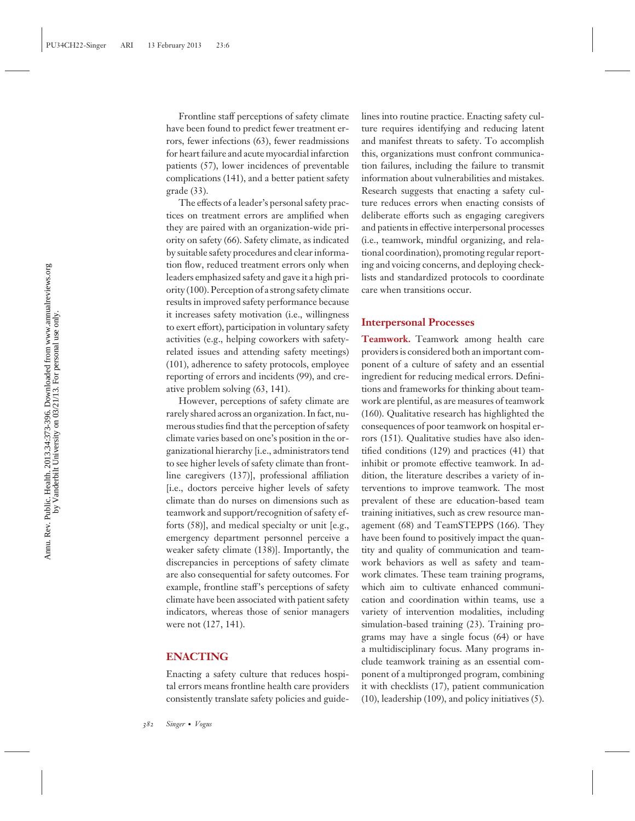Frontline staff perceptions of safety climate have been found to predict fewer treatment errors, fewer infections (63), fewer readmissions for heart failure and acute myocardial infarction patients (57), lower incidences of preventable complications (141), and a better patient safety grade (33).

The effects of a leader's personal safety practices on treatment errors are amplified when they are paired with an organization-wide priority on safety (66). Safety climate, as indicated by suitable safety procedures and clear information flow, reduced treatment errors only when leaders emphasized safety and gave it a high priority (100). Perception of a strong safety climate results in improved safety performance because it increases safety motivation (i.e., willingness to exert effort), participation in voluntary safety activities (e.g., helping coworkers with safetyrelated issues and attending safety meetings) (101), adherence to safety protocols, employee reporting of errors and incidents (99), and creative problem solving (63, 141).

However, perceptions of safety climate are rarely shared across an organization. In fact, numerous studies find that the perception of safety climate varies based on one's position in the organizational hierarchy [i.e., administrators tend to see higher levels of safety climate than frontline caregivers (137)], professional affiliation [i.e., doctors perceive higher levels of safety climate than do nurses on dimensions such as teamwork and support/recognition of safety efforts (58)], and medical specialty or unit [e.g., emergency department personnel perceive a weaker safety climate (138)]. Importantly, the discrepancies in perceptions of safety climate are also consequential for safety outcomes. For example, frontline staff's perceptions of safety climate have been associated with patient safety indicators, whereas those of senior managers were not (127, 141).

## **ENACTING**

Enacting a safety culture that reduces hospital errors means frontline health care providers consistently translate safety policies and guidelines into routine practice. Enacting safety culture requires identifying and reducing latent and manifest threats to safety. To accomplish this, organizations must confront communication failures, including the failure to transmit information about vulnerabilities and mistakes. Research suggests that enacting a safety culture reduces errors when enacting consists of deliberate efforts such as engaging caregivers and patients in effective interpersonal processes (i.e., teamwork, mindful organizing, and relational coordination), promoting regular reporting and voicing concerns, and deploying checklists and standardized protocols to coordinate care when transitions occur.

# **Interpersonal Processes**

**Teamwork.** Teamwork among health care providers is considered both an important component of a culture of safety and an essential ingredient for reducing medical errors. Definitions and frameworks for thinking about teamwork are plentiful, as are measures of teamwork (160). Qualitative research has highlighted the consequences of poor teamwork on hospital errors (151). Qualitative studies have also identified conditions (129) and practices (41) that inhibit or promote effective teamwork. In addition, the literature describes a variety of interventions to improve teamwork. The most prevalent of these are education-based team training initiatives, such as crew resource management (68) and TeamSTEPPS (166). They have been found to positively impact the quantity and quality of communication and teamwork behaviors as well as safety and teamwork climates. These team training programs, which aim to cultivate enhanced communication and coordination within teams, use a variety of intervention modalities, including simulation-based training (23). Training programs may have a single focus (64) or have a multidisciplinary focus. Many programs include teamwork training as an essential component of a multipronged program, combining it with checklists (17), patient communication (10), leadership (109), and policy initiatives (5).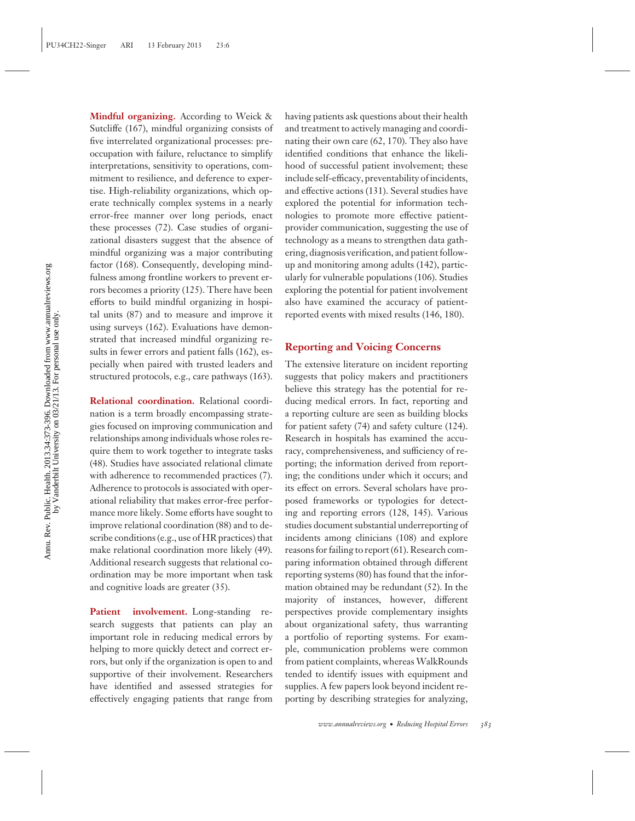**Mindful organizing.** According to Weick & Sutcliffe (167), mindful organizing consists of five interrelated organizational processes: preoccupation with failure, reluctance to simplify interpretations, sensitivity to operations, commitment to resilience, and deference to expertise. High-reliability organizations, which operate technically complex systems in a nearly error-free manner over long periods, enact these processes (72). Case studies of organizational disasters suggest that the absence of mindful organizing was a major contributing factor (168). Consequently, developing mindfulness among frontline workers to prevent errors becomes a priority (125). There have been efforts to build mindful organizing in hospital units (87) and to measure and improve it using surveys (162). Evaluations have demonstrated that increased mindful organizing results in fewer errors and patient falls (162), especially when paired with trusted leaders and structured protocols, e.g., care pathways (163).

**Relational coordination.** Relational coordination is a term broadly encompassing strategies focused on improving communication and relationships among individuals whose roles require them to work together to integrate tasks (48). Studies have associated relational climate with adherence to recommended practices (7). Adherence to protocols is associated with operational reliability that makes error-free performance more likely. Some efforts have sought to improve relational coordination (88) and to describe conditions (e.g., use of HR practices) that make relational coordination more likely (49). Additional research suggests that relational coordination may be more important when task and cognitive loads are greater (35).

**Patient involvement.** Long-standing research suggests that patients can play an important role in reducing medical errors by helping to more quickly detect and correct errors, but only if the organization is open to and supportive of their involvement. Researchers have identified and assessed strategies for effectively engaging patients that range from

having patients ask questions about their health and treatment to actively managing and coordinating their own care (62, 170). They also have identified conditions that enhance the likelihood of successful patient involvement; these include self-efficacy, preventability of incidents, and effective actions (131). Several studies have explored the potential for information technologies to promote more effective patientprovider communication, suggesting the use of technology as a means to strengthen data gathering, diagnosis verification, and patient followup and monitoring among adults (142), particularly for vulnerable populations (106). Studies exploring the potential for patient involvement also have examined the accuracy of patientreported events with mixed results (146, 180).

#### **Reporting and Voicing Concerns**

The extensive literature on incident reporting suggests that policy makers and practitioners believe this strategy has the potential for reducing medical errors. In fact, reporting and a reporting culture are seen as building blocks for patient safety (74) and safety culture (124). Research in hospitals has examined the accuracy, comprehensiveness, and sufficiency of reporting; the information derived from reporting; the conditions under which it occurs; and its effect on errors. Several scholars have proposed frameworks or typologies for detecting and reporting errors (128, 145). Various studies document substantial underreporting of incidents among clinicians (108) and explore reasons for failing to report (61). Research comparing information obtained through different reporting systems (80) has found that the information obtained may be redundant (52). In the majority of instances, however, different perspectives provide complementary insights about organizational safety, thus warranting a portfolio of reporting systems. For example, communication problems were common from patient complaints, whereas WalkRounds tended to identify issues with equipment and supplies. A few papers look beyond incident reporting by describing strategies for analyzing,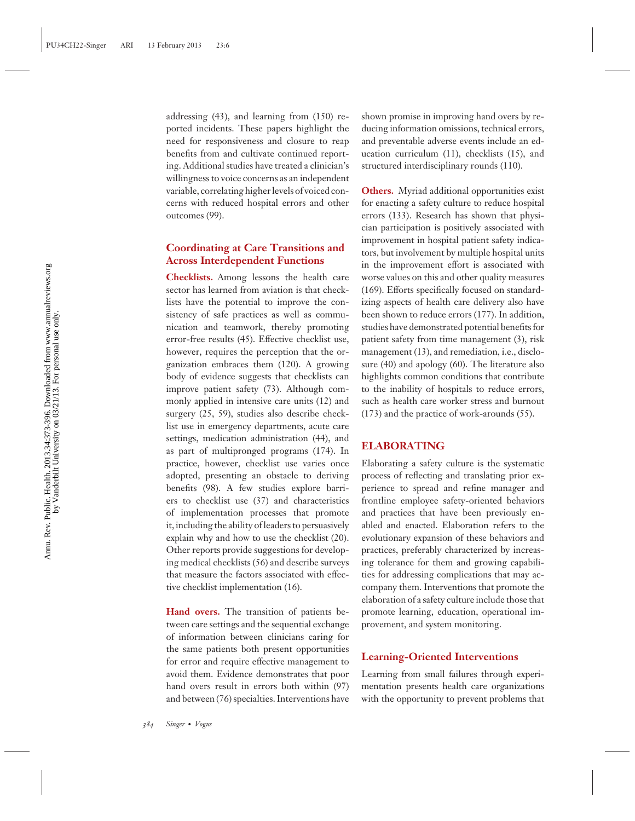addressing (43), and learning from (150) reported incidents. These papers highlight the need for responsiveness and closure to reap benefits from and cultivate continued reporting. Additional studies have treated a clinician's willingness to voice concerns as an independent variable, correlating higher levels of voiced concerns with reduced hospital errors and other outcomes (99).

# **Coordinating at Care Transitions and Across Interdependent Functions**

**Checklists.** Among lessons the health care sector has learned from aviation is that checklists have the potential to improve the consistency of safe practices as well as communication and teamwork, thereby promoting error-free results (45). Effective checklist use, however, requires the perception that the organization embraces them (120). A growing body of evidence suggests that checklists can improve patient safety (73). Although commonly applied in intensive care units (12) and surgery (25, 59), studies also describe checklist use in emergency departments, acute care settings, medication administration (44), and as part of multipronged programs (174). In practice, however, checklist use varies once adopted, presenting an obstacle to deriving benefits (98). A few studies explore barriers to checklist use (37) and characteristics of implementation processes that promote it, including the ability of leaders to persuasively explain why and how to use the checklist (20). Other reports provide suggestions for developing medical checklists (56) and describe surveys that measure the factors associated with effective checklist implementation (16).

**Hand overs.** The transition of patients between care settings and the sequential exchange of information between clinicians caring for the same patients both present opportunities for error and require effective management to avoid them. Evidence demonstrates that poor hand overs result in errors both within (97) and between (76) specialties. Interventions have

shown promise in improving hand overs by reducing information omissions, technical errors, and preventable adverse events include an education curriculum (11), checklists (15), and structured interdisciplinary rounds (110).

**Others.** Myriad additional opportunities exist for enacting a safety culture to reduce hospital errors (133). Research has shown that physician participation is positively associated with improvement in hospital patient safety indicators, but involvement by multiple hospital units in the improvement effort is associated with worse values on this and other quality measures (169). Efforts specifically focused on standardizing aspects of health care delivery also have been shown to reduce errors (177). In addition, studies have demonstrated potential benefits for patient safety from time management (3), risk management (13), and remediation, i.e., disclosure (40) and apology (60). The literature also highlights common conditions that contribute to the inability of hospitals to reduce errors, such as health care worker stress and burnout (173) and the practice of work-arounds (55).

### **ELABORATING**

Elaborating a safety culture is the systematic process of reflecting and translating prior experience to spread and refine manager and frontline employee safety-oriented behaviors and practices that have been previously enabled and enacted. Elaboration refers to the evolutionary expansion of these behaviors and practices, preferably characterized by increasing tolerance for them and growing capabilities for addressing complications that may accompany them. Interventions that promote the elaboration of a safety culture include those that promote learning, education, operational improvement, and system monitoring.

## **Learning-Oriented Interventions**

Learning from small failures through experimentation presents health care organizations with the opportunity to prevent problems that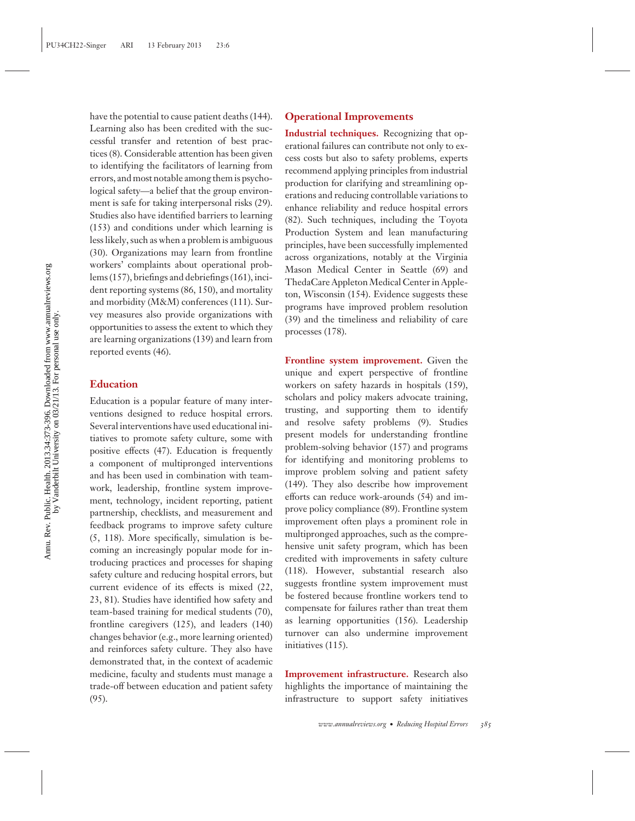have the potential to cause patient deaths (144). Learning also has been credited with the successful transfer and retention of best practices (8). Considerable attention has been given to identifying the facilitators of learning from errors, and most notable among them is psychological safety—a belief that the group environment is safe for taking interpersonal risks (29). Studies also have identified barriers to learning (153) and conditions under which learning is less likely, such as when a problem is ambiguous (30). Organizations may learn from frontline workers' complaints about operational problems (157), briefings and debriefings (161), incident reporting systems (86, 150), and mortality and morbidity (M&M) conferences (111). Survey measures also provide organizations with opportunities to assess the extent to which they are learning organizations (139) and learn from reported events (46).

#### **Education**

Education is a popular feature of many interventions designed to reduce hospital errors. Several interventions have used educational initiatives to promote safety culture, some with positive effects (47). Education is frequently a component of multipronged interventions and has been used in combination with teamwork, leadership, frontline system improvement, technology, incident reporting, patient partnership, checklists, and measurement and feedback programs to improve safety culture (5, 118). More specifically, simulation is becoming an increasingly popular mode for introducing practices and processes for shaping safety culture and reducing hospital errors, but current evidence of its effects is mixed (22, 23, 81). Studies have identified how safety and team-based training for medical students (70), frontline caregivers (125), and leaders (140) changes behavior (e.g., more learning oriented) and reinforces safety culture. They also have demonstrated that, in the context of academic medicine, faculty and students must manage a trade-off between education and patient safety (95).

#### **Operational Improvements**

**Industrial techniques.** Recognizing that operational failures can contribute not only to excess costs but also to safety problems, experts recommend applying principles from industrial production for clarifying and streamlining operations and reducing controllable variations to enhance reliability and reduce hospital errors (82). Such techniques, including the Toyota Production System and lean manufacturing principles, have been successfully implemented across organizations, notably at the Virginia Mason Medical Center in Seattle (69) and ThedaCare Appleton Medical Center in Appleton, Wisconsin (154). Evidence suggests these programs have improved problem resolution (39) and the timeliness and reliability of care processes (178).

**Frontline system improvement.** Given the unique and expert perspective of frontline workers on safety hazards in hospitals (159), scholars and policy makers advocate training, trusting, and supporting them to identify and resolve safety problems (9). Studies present models for understanding frontline problem-solving behavior (157) and programs for identifying and monitoring problems to improve problem solving and patient safety (149). They also describe how improvement efforts can reduce work-arounds (54) and improve policy compliance (89). Frontline system improvement often plays a prominent role in multipronged approaches, such as the comprehensive unit safety program, which has been credited with improvements in safety culture (118). However, substantial research also suggests frontline system improvement must be fostered because frontline workers tend to compensate for failures rather than treat them as learning opportunities (156). Leadership turnover can also undermine improvement initiatives (115).

**Improvement infrastructure.** Research also highlights the importance of maintaining the infrastructure to support safety initiatives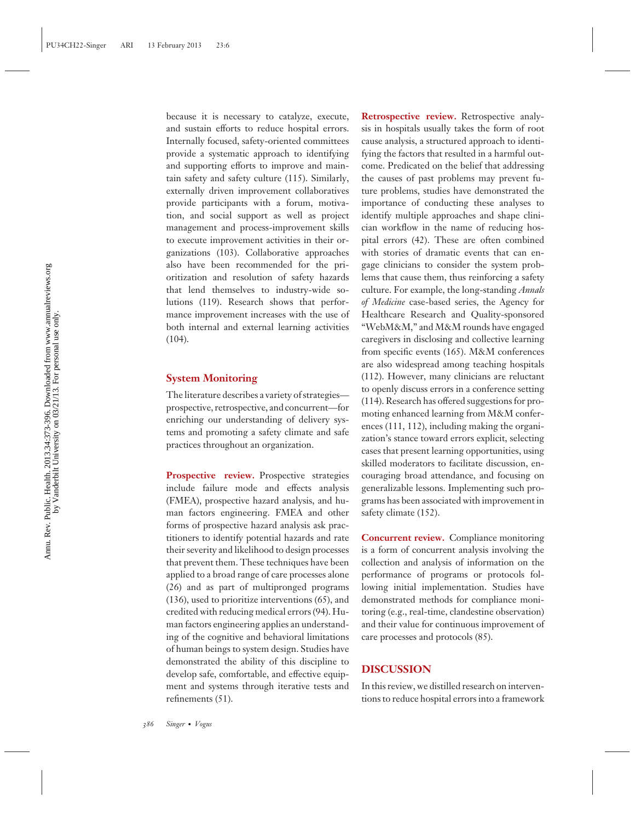because it is necessary to catalyze, execute, and sustain efforts to reduce hospital errors. Internally focused, safety-oriented committees provide a systematic approach to identifying and supporting efforts to improve and maintain safety and safety culture (115). Similarly, externally driven improvement collaboratives provide participants with a forum, motivation, and social support as well as project management and process-improvement skills to execute improvement activities in their organizations (103). Collaborative approaches also have been recommended for the prioritization and resolution of safety hazards that lend themselves to industry-wide solutions (119). Research shows that performance improvement increases with the use of both internal and external learning activities (104).

# **System Monitoring**

The literature describes a variety of strategies prospective, retrospective, and concurrent—for enriching our understanding of delivery systems and promoting a safety climate and safe practices throughout an organization.

**Prospective review.** Prospective strategies include failure mode and effects analysis (FMEA), prospective hazard analysis, and human factors engineering. FMEA and other forms of prospective hazard analysis ask practitioners to identify potential hazards and rate their severity and likelihood to design processes that prevent them. These techniques have been applied to a broad range of care processes alone (26) and as part of multipronged programs (136), used to prioritize interventions (65), and credited with reducing medical errors (94). Human factors engineering applies an understanding of the cognitive and behavioral limitations of human beings to system design. Studies have demonstrated the ability of this discipline to develop safe, comfortable, and effective equipment and systems through iterative tests and refinements (51).

**Retrospective review.** Retrospective analysis in hospitals usually takes the form of root cause analysis, a structured approach to identifying the factors that resulted in a harmful outcome. Predicated on the belief that addressing the causes of past problems may prevent future problems, studies have demonstrated the importance of conducting these analyses to identify multiple approaches and shape clinician workflow in the name of reducing hospital errors (42). These are often combined with stories of dramatic events that can engage clinicians to consider the system problems that cause them, thus reinforcing a safety culture. For example, the long-standing *Annals of Medicine* case-based series, the Agency for Healthcare Research and Quality-sponsored "WebM&M," and M&M rounds have engaged caregivers in disclosing and collective learning from specific events (165). M&M conferences are also widespread among teaching hospitals (112). However, many clinicians are reluctant to openly discuss errors in a conference setting (114). Research has offered suggestions for promoting enhanced learning from M&M conferences (111, 112), including making the organization's stance toward errors explicit, selecting cases that present learning opportunities, using skilled moderators to facilitate discussion, encouraging broad attendance, and focusing on generalizable lessons. Implementing such programs has been associated with improvement in safety climate (152).

**Concurrent review.** Compliance monitoring is a form of concurrent analysis involving the collection and analysis of information on the performance of programs or protocols following initial implementation. Studies have demonstrated methods for compliance monitoring (e.g., real-time, clandestine observation) and their value for continuous improvement of care processes and protocols (85).

#### **DISCUSSION**

In this review, we distilled research on interventions to reduce hospital errors into a framework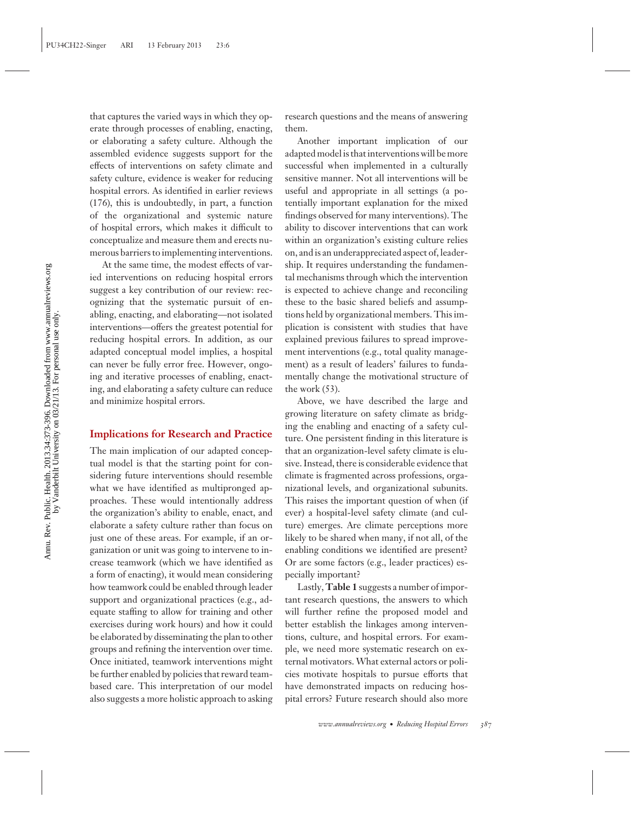that captures the varied ways in which they operate through processes of enabling, enacting, or elaborating a safety culture. Although the assembled evidence suggests support for the effects of interventions on safety climate and safety culture, evidence is weaker for reducing hospital errors. As identified in earlier reviews (176), this is undoubtedly, in part, a function of the organizational and systemic nature of hospital errors, which makes it difficult to conceptualize and measure them and erects numerous barriers to implementing interventions.

At the same time, the modest effects of varied interventions on reducing hospital errors suggest a key contribution of our review: recognizing that the systematic pursuit of enabling, enacting, and elaborating—not isolated interventions—offers the greatest potential for reducing hospital errors. In addition, as our adapted conceptual model implies, a hospital can never be fully error free. However, ongoing and iterative processes of enabling, enacting, and elaborating a safety culture can reduce and minimize hospital errors.

#### **Implications for Research and Practice**

The main implication of our adapted conceptual model is that the starting point for considering future interventions should resemble what we have identified as multipronged approaches. These would intentionally address the organization's ability to enable, enact, and elaborate a safety culture rather than focus on just one of these areas. For example, if an organization or unit was going to intervene to increase teamwork (which we have identified as a form of enacting), it would mean considering how teamwork could be enabled through leader support and organizational practices (e.g., adequate staffing to allow for training and other exercises during work hours) and how it could be elaborated by disseminating the plan to other groups and refining the intervention over time. Once initiated, teamwork interventions might be further enabled by policies that reward teambased care. This interpretation of our model also suggests a more holistic approach to asking research questions and the means of answering them.

Another important implication of our adapted model is that interventions will be more successful when implemented in a culturally sensitive manner. Not all interventions will be useful and appropriate in all settings (a potentially important explanation for the mixed findings observed for many interventions). The ability to discover interventions that can work within an organization's existing culture relies on, and is an underappreciated aspect of, leadership. It requires understanding the fundamental mechanisms through which the intervention is expected to achieve change and reconciling these to the basic shared beliefs and assumptions held by organizational members. This implication is consistent with studies that have explained previous failures to spread improvement interventions (e.g., total quality management) as a result of leaders' failures to fundamentally change the motivational structure of the work (53).

Above, we have described the large and growing literature on safety climate as bridging the enabling and enacting of a safety culture. One persistent finding in this literature is that an organization-level safety climate is elusive. Instead, there is considerable evidence that climate is fragmented across professions, organizational levels, and organizational subunits. This raises the important question of when (if ever) a hospital-level safety climate (and culture) emerges. Are climate perceptions more likely to be shared when many, if not all, of the enabling conditions we identified are present? Or are some factors (e.g., leader practices) especially important?

Lastly, **Table 1** suggests a number of important research questions, the answers to which will further refine the proposed model and better establish the linkages among interventions, culture, and hospital errors. For example, we need more systematic research on external motivators. What external actors or policies motivate hospitals to pursue efforts that have demonstrated impacts on reducing hospital errors? Future research should also more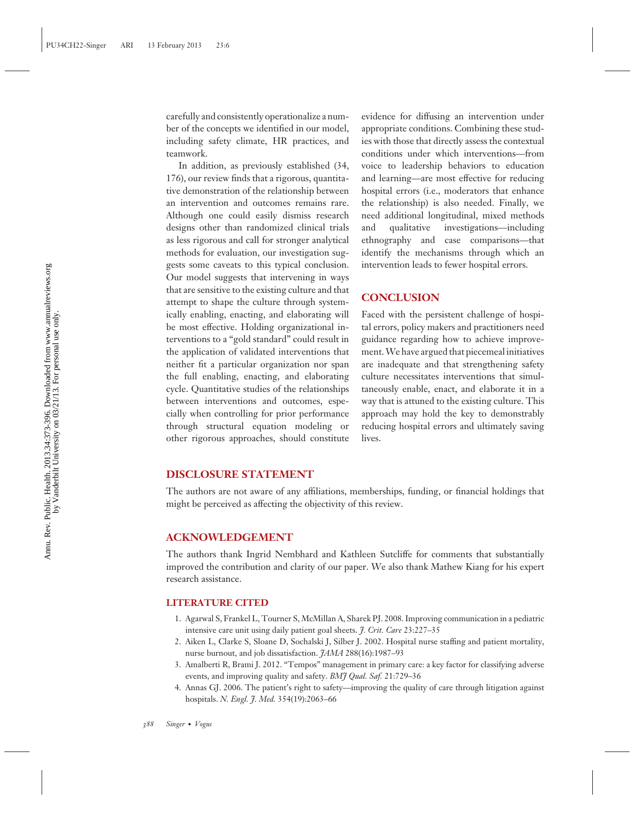carefully and consistently operationalize a number of the concepts we identified in our model, including safety climate, HR practices, and teamwork.

In addition, as previously established (34, 176), our review finds that a rigorous, quantitative demonstration of the relationship between an intervention and outcomes remains rare. Although one could easily dismiss research designs other than randomized clinical trials as less rigorous and call for stronger analytical methods for evaluation, our investigation suggests some caveats to this typical conclusion. Our model suggests that intervening in ways that are sensitive to the existing culture and that attempt to shape the culture through systemically enabling, enacting, and elaborating will be most effective. Holding organizational interventions to a "gold standard" could result in the application of validated interventions that neither fit a particular organization nor span the full enabling, enacting, and elaborating cycle. Quantitative studies of the relationships between interventions and outcomes, especially when controlling for prior performance through structural equation modeling or other rigorous approaches, should constitute

evidence for diffusing an intervention under appropriate conditions. Combining these studies with those that directly assess the contextual conditions under which interventions—from voice to leadership behaviors to education and learning—are most effective for reducing hospital errors (i.e., moderators that enhance the relationship) is also needed. Finally, we need additional longitudinal, mixed methods and qualitative investigations—including ethnography and case comparisons—that identify the mechanisms through which an intervention leads to fewer hospital errors.

#### **CONCLUSION**

Faced with the persistent challenge of hospital errors, policy makers and practitioners need guidance regarding how to achieve improvement.We have argued that piecemeal initiatives are inadequate and that strengthening safety culture necessitates interventions that simultaneously enable, enact, and elaborate it in a way that is attuned to the existing culture. This approach may hold the key to demonstrably reducing hospital errors and ultimately saving lives.

#### **DISCLOSURE STATEMENT**

The authors are not aware of any affiliations, memberships, funding, or financial holdings that might be perceived as affecting the objectivity of this review.

#### **ACKNOWLEDGEMENT**

The authors thank Ingrid Nembhard and Kathleen Sutcliffe for comments that substantially improved the contribution and clarity of our paper. We also thank Mathew Kiang for his expert research assistance.

#### **LITERATURE CITED**

- 1. Agarwal S, Frankel L, Tourner S, McMillan A, Sharek PJ. 2008. Improving communication in a pediatric intensive care unit using daily patient goal sheets. *J. Crit. Care* 23:227–35
- 2. Aiken L, Clarke S, Sloane D, Sochalski J, Silber J. 2002. Hospital nurse staffing and patient mortality, nurse burnout, and job dissatisfaction. *JAMA* 288(16):1987–93
- 3. Amalberti R, Brami J. 2012. "Tempos" management in primary care: a key factor for classifying adverse events, and improving quality and safety. *BMJ Qual. Saf.* 21:729–36
- 4. Annas GJ. 2006. The patient's right to safety—improving the quality of care through litigation against hospitals. *N. Engl. J. Med.* 354(19):2063–66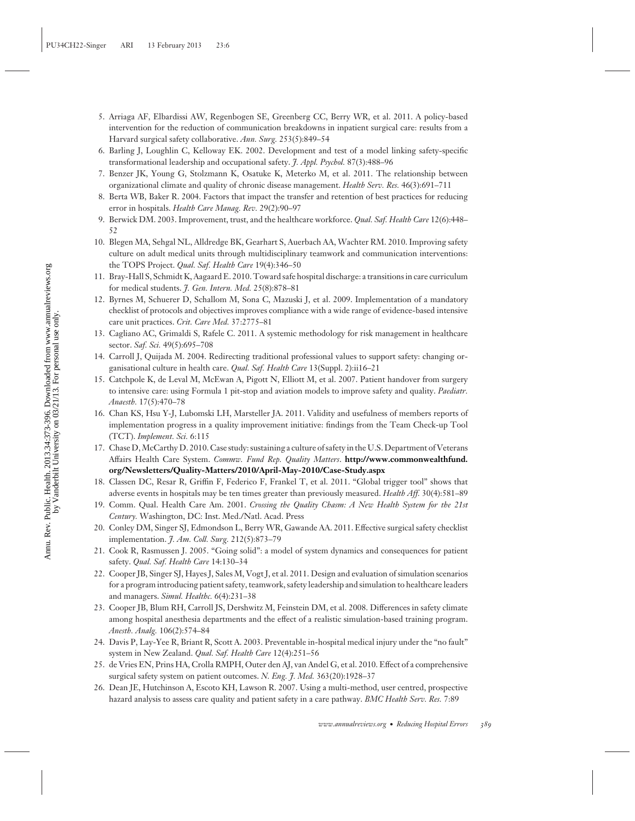- 5. Arriaga AF, Elbardissi AW, Regenbogen SE, Greenberg CC, Berry WR, et al. 2011. A policy-based intervention for the reduction of communication breakdowns in inpatient surgical care: results from a Harvard surgical safety collaborative. *Ann. Surg.* 253(5):849–54
- 6. Barling J, Loughlin C, Kelloway EK. 2002. Development and test of a model linking safety-specific transformational leadership and occupational safety. *J. Appl. Psychol.* 87(3):488–96
- 7. Benzer JK, Young G, Stolzmann K, Osatuke K, Meterko M, et al. 2011. The relationship between organizational climate and quality of chronic disease management. *Health Serv. Res.* 46(3):691–711
- 8. Berta WB, Baker R. 2004. Factors that impact the transfer and retention of best practices for reducing error in hospitals. *Health Care Manag. Rev.* 29(2):90–97
- 9. Berwick DM. 2003. Improvement, trust, and the healthcare workforce. *Qual. Saf. Health Care* 12(6):448– 52
- 10. Blegen MA, Sehgal NL, Alldredge BK, Gearhart S, Auerbach AA, Wachter RM. 2010. Improving safety culture on adult medical units through multidisciplinary teamwork and communication interventions: the TOPS Project. *Qual. Saf. Health Care* 19(4):346–50
- 11. Bray-Hall S, Schmidt K, Aagaard E. 2010. Toward safe hospital discharge: a transitions in care curriculum for medical students. *J. Gen. Intern. Med.* 25(8):878–81
- 12. Byrnes M, Schuerer D, Schallom M, Sona C, Mazuski J, et al. 2009. Implementation of a mandatory checklist of protocols and objectives improves compliance with a wide range of evidence-based intensive care unit practices. *Crit. Care Med.* 37:2775–81
- 13. Cagliano AC, Grimaldi S, Rafele C. 2011. A systemic methodology for risk management in healthcare sector. *Saf. Sci.* 49(5):695–708
- 14. Carroll J, Quijada M. 2004. Redirecting traditional professional values to support safety: changing organisational culture in health care. *Qual. Saf. Health Care* 13(Suppl. 2):ii16–21
- 15. Catchpole K, de Leval M, McEwan A, Pigott N, Elliott M, et al. 2007. Patient handover from surgery to intensive care: using Formula 1 pit-stop and aviation models to improve safety and quality. *Paediatr. Anaesth.* 17(5):470–78
- 16. Chan KS, Hsu Y-J, Lubomski LH, Marsteller JA. 2011. Validity and usefulness of members reports of implementation progress in a quality improvement initiative: findings from the Team Check-up Tool (TCT). *Implement. Sci.* 6:115
- 17. Chase D,McCarthy D. 2010. Case study: sustaining a culture of safety in the U.S. Department of Veterans Affairs Health Care System. *Commw. Fund Rep. Quality Matters*. **[http://www.commonwealthfund.](http://www.commonwealthfund.org/Newsletters/Quality-Matters/2010/April-May-2010/Case-Study.aspx) [org/Newsletters/Quality-Matters/2010/April-May-2010/Case-Study.aspx](http://www.commonwealthfund.org/Newsletters/Quality-Matters/2010/April-May-2010/Case-Study.aspx)**
- 18. Classen DC, Resar R, Griffin F, Federico F, Frankel T, et al. 2011. "Global trigger tool" shows that adverse events in hospitals may be ten times greater than previously measured. *Health Aff.* 30(4):581–89
- 19. Comm. Qual. Health Care Am. 2001. *Crossing the Quality Chasm: A New Health System for the 21st Century.* Washington, DC: Inst. Med./Natl. Acad. Press
- 20. Conley DM, Singer SJ, Edmondson L, Berry WR, Gawande AA. 2011. Effective surgical safety checklist implementation. *J. Am. Coll. Surg.* 212(5):873–79
- 21. Cook R, Rasmussen J. 2005. "Going solid": a model of system dynamics and consequences for patient safety. *Qual. Saf. Health Care* 14:130–34
- 22. Cooper JB, Singer SJ, Hayes J, Sales M, Vogt J, et al. 2011. Design and evaluation of simulation scenarios for a program introducing patient safety, teamwork, safety leadership and simulation to healthcare leaders and managers. *Simul. Healthc.* 6(4):231–38
- 23. Cooper JB, Blum RH, Carroll JS, Dershwitz M, Feinstein DM, et al. 2008. Differences in safety climate among hospital anesthesia departments and the effect of a realistic simulation-based training program. *Anesth. Analg.* 106(2):574–84
- 24. Davis P, Lay-Yee R, Briant R, Scott A. 2003. Preventable in-hospital medical injury under the "no fault" system in New Zealand. *Qual. Saf. Health Care* 12(4):251–56
- 25. de Vries EN, Prins HA, Crolla RMPH, Outer den AJ, van Andel G, et al. 2010. Effect of a comprehensive surgical safety system on patient outcomes. *N. Eng. 7. Med.* 363(20):1928-37
- 26. Dean JE, Hutchinson A, Escoto KH, Lawson R. 2007. Using a multi-method, user centred, prospective hazard analysis to assess care quality and patient safety in a care pathway. *BMC Health Serv. Res.* 7:89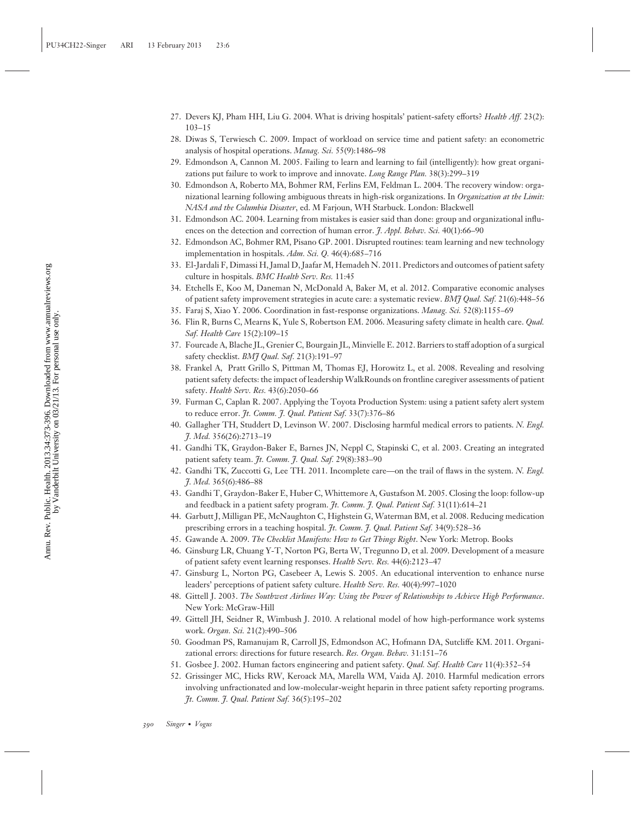- 27. Devers KJ, Pham HH, Liu G. 2004. What is driving hospitals' patient-safety efforts? *Health Aff.* 23(2): 103–15
- 28. Diwas S, Terwiesch C. 2009. Impact of workload on service time and patient safety: an econometric analysis of hospital operations. *Manag. Sci.* 55(9):1486–98
- 29. Edmondson A, Cannon M. 2005. Failing to learn and learning to fail (intelligently): how great organizations put failure to work to improve and innovate. *Long Range Plan.* 38(3):299–319
- 30. Edmondson A, Roberto MA, Bohmer RM, Ferlins EM, Feldman L. 2004. The recovery window: organizational learning following ambiguous threats in high-risk organizations. In *Organization at the Limit: NASA and the Columbia Disaster*, ed. M Farjoun, WH Starbuck. London: Blackwell
- 31. Edmondson AC. 2004. Learning from mistakes is easier said than done: group and organizational influences on the detection and correction of human error. *J. Appl. Behav. Sci.* 40(1):66–90
- 32. Edmondson AC, Bohmer RM, Pisano GP. 2001. Disrupted routines: team learning and new technology implementation in hospitals. *Adm. Sci. Q.* 46(4):685–716
- 33. El-Jardali F, Dimassi H, Jamal D, Jaafar M, Hemadeh N. 2011. Predictors and outcomes of patient safety culture in hospitals. *BMC Health Serv. Res.* 11:45
- 34. Etchells E, Koo M, Daneman N, McDonald A, Baker M, et al. 2012. Comparative economic analyses of patient safety improvement strategies in acute care: a systematic review. *BMJ Qual. Saf.* 21(6):448–56
- 35. Faraj S, Xiao Y. 2006. Coordination in fast-response organizations. *Manag. Sci.* 52(8):1155–69
- 36. Flin R, Burns C, Mearns K, Yule S, Robertson EM. 2006. Measuring safety climate in health care. *Qual. Saf. Health Care* 15(2):109–15
- 37. Fourcade A, Blache JL, Grenier C, Bourgain JL, Minvielle E. 2012. Barriers to staff adoption of a surgical safety checklist. *BMJ Qual. Saf.* 21(3):191–97
- 38. Frankel A, Pratt Grillo S, Pittman M, Thomas EJ, Horowitz L, et al. 2008. Revealing and resolving patient safety defects: the impact of leadership WalkRounds on frontline caregiver assessments of patient safety. *Health Serv. Res.* 43(6):2050–66
- 39. Furman C, Caplan R. 2007. Applying the Toyota Production System: using a patient safety alert system to reduce error. *Jt. Comm. J. Qual. Patient Saf.* 33(7):376–86
- 40. Gallagher TH, Studdert D, Levinson W. 2007. Disclosing harmful medical errors to patients. *N. Engl. J. Med.* 356(26):2713–19
- 41. Gandhi TK, Graydon-Baker E, Barnes JN, Neppl C, Stapinski C, et al. 2003. Creating an integrated patient safety team. *Jt. Comm. J. Qual. Saf.* 29(8):383–90
- 42. Gandhi TK, Zuccotti G, Lee TH. 2011. Incomplete care—on the trail of flaws in the system. *N. Engl. J. Med.* 365(6):486–88
- 43. Gandhi T, Graydon-Baker E, Huber C, Whittemore A, Gustafson M. 2005. Closing the loop: follow-up and feedback in a patient safety program. *Jt. Comm. J. Qual. Patient Saf.* 31(11):614–21
- 44. Garbutt J, Milligan PE, McNaughton C, Highstein G, Waterman BM, et al. 2008. Reducing medication prescribing errors in a teaching hospital. *Jt. Comm. J. Qual. Patient Saf.* 34(9):528–36
- 45. Gawande A. 2009. *The Checklist Manifesto: How to Get Things Right*. New York: Metrop. Books
- 46. Ginsburg LR, Chuang Y-T, Norton PG, Berta W, Tregunno D, et al. 2009. Development of a measure of patient safety event learning responses. *Health Serv. Res.* 44(6):2123–47
- 47. Ginsburg L, Norton PG, Casebeer A, Lewis S. 2005. An educational intervention to enhance nurse leaders' perceptions of patient safety culture. *Health Serv. Res.* 40(4):997–1020
- 48. Gittell J. 2003. *The Southwest Airlines Way: Using the Power of Relationships to Achieve High Performance*. New York: McGraw-Hill
- 49. Gittell JH, Seidner R, Wimbush J. 2010. A relational model of how high-performance work systems work. *Organ. Sci.* 21(2):490–506
- 50. Goodman PS, Ramanujam R, Carroll JS, Edmondson AC, Hofmann DA, Sutcliffe KM. 2011. Organizational errors: directions for future research. *Res. Organ. Behav.* 31:151–76
- 51. Gosbee J. 2002. Human factors engineering and patient safety. *Qual. Saf. Health Care* 11(4):352–54
- 52. Grissinger MC, Hicks RW, Keroack MA, Marella WM, Vaida AJ. 2010. Harmful medication errors involving unfractionated and low-molecular-weight heparin in three patient safety reporting programs. *Jt. Comm. J. Qual. Patient Saf.* 36(5):195–202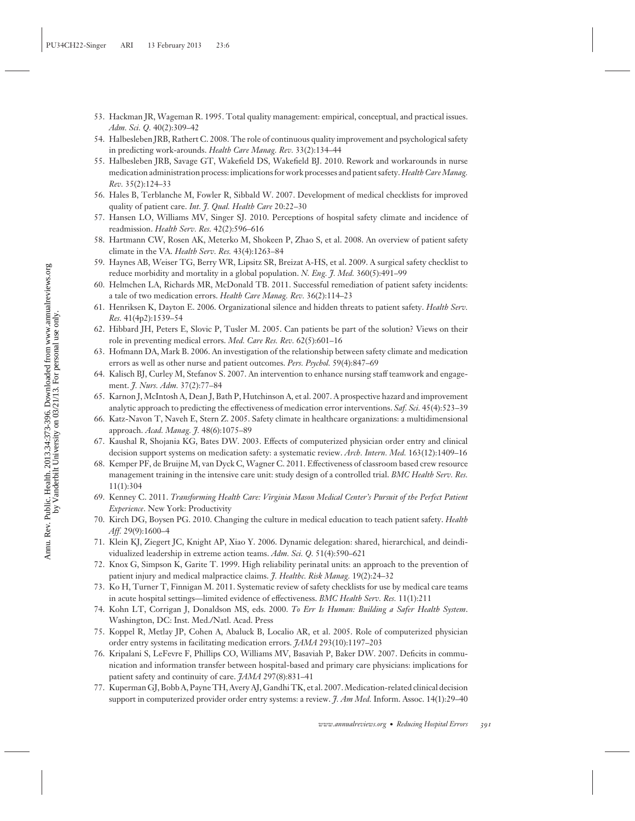- 53. Hackman JR, Wageman R. 1995. Total quality management: empirical, conceptual, and practical issues. *Adm. Sci. Q.* 40(2):309–42
- 54. Halbesleben JRB, Rathert C. 2008. The role of continuous quality improvement and psychological safety in predicting work-arounds. *Health Care Manag. Rev.* 33(2):134–44
- 55. Halbesleben JRB, Savage GT, Wakefield DS, Wakefield BJ. 2010. Rework and workarounds in nurse medication administration process: implications for work processes and patient safety.*Health Care Manag. Rev.* 35(2):124–33
- 56. Hales B, Terblanche M, Fowler R, Sibbald W. 2007. Development of medical checklists for improved quality of patient care. *Int. J. Qual. Health Care* 20:22–30
- 57. Hansen LO, Williams MV, Singer SJ. 2010. Perceptions of hospital safety climate and incidence of readmission. *Health Serv. Res.* 42(2):596–616
- 58. Hartmann CW, Rosen AK, Meterko M, Shokeen P, Zhao S, et al. 2008. An overview of patient safety climate in the VA. *Health Serv. Res.* 43(4):1263–84
- 59. Haynes AB, Weiser TG, Berry WR, Lipsitz SR, Breizat A-HS, et al. 2009. A surgical safety checklist to reduce morbidity and mortality in a global population. *N. Eng. J. Med.* 360(5):491–99
- 60. Helmchen LA, Richards MR, McDonald TB. 2011. Successful remediation of patient safety incidents: a tale of two medication errors. *Health Care Manag. Rev.* 36(2):114–23
- 61. Henriksen K, Dayton E. 2006. Organizational silence and hidden threats to patient safety. *Health Serv. Res.* 41(4p2):1539–54
- 62. Hibbard JH, Peters E, Slovic P, Tusler M. 2005. Can patients be part of the solution? Views on their role in preventing medical errors. *Med. Care Res. Rev.* 62(5):601–16
- 63. Hofmann DA, Mark B. 2006. An investigation of the relationship between safety climate and medication errors as well as other nurse and patient outcomes. *Pers. Psychol.* 59(4):847–69
- 64. Kalisch BJ, Curley M, Stefanov S. 2007. An intervention to enhance nursing staff teamwork and engagement. *J. Nurs. Adm.* 37(2):77–84
- 65. Karnon J, McIntosh A, Dean J, Bath P, Hutchinson A, et al. 2007. A prospective hazard and improvement analytic approach to predicting the effectiveness of medication error interventions. *Saf. Sci.* 45(4):523–39
- 66. Katz-Navon T, Naveh E, Stern Z. 2005. Safety climate in healthcare organizations: a multidimensional approach. *Acad. Manag. J.* 48(6):1075–89
- 67. Kaushal R, Shojania KG, Bates DW. 2003. Effects of computerized physician order entry and clinical decision support systems on medication safety: a systematic review. *Arch. Intern. Med.* 163(12):1409–16
- 68. Kemper PF, de Bruijne M, van Dyck C, Wagner C. 2011. Effectiveness of classroom based crew resource management training in the intensive care unit: study design of a controlled trial. *BMC Health Serv. Res.* 11(1):304
- 69. Kenney C. 2011. *Transforming Health Care: Virginia Mason Medical Center's Pursuit of the Perfect Patient Experience*. New York: Productivity
- 70. Kirch DG, Boysen PG. 2010. Changing the culture in medical education to teach patient safety. *Health Aff.* 29(9):1600–4
- 71. Klein KJ, Ziegert JC, Knight AP, Xiao Y. 2006. Dynamic delegation: shared, hierarchical, and deindividualized leadership in extreme action teams. *Adm. Sci. Q.* 51(4):590–621
- 72. Knox G, Simpson K, Garite T. 1999. High reliability perinatal units: an approach to the prevention of patient injury and medical malpractice claims. *J. Healthc. Risk Manag.* 19(2):24–32
- 73. Ko H, Turner T, Finnigan M. 2011. Systematic review of safety checklists for use by medical care teams in acute hospital settings—limited evidence of effectiveness. *BMC Health Serv. Res.* 11(1):211
- 74. Kohn LT, Corrigan J, Donaldson MS, eds. 2000. *To Err Is Human: Building a Safer Health System*. Washington, DC: Inst. Med./Natl. Acad. Press
- 75. Koppel R, Metlay JP, Cohen A, Abaluck B, Localio AR, et al. 2005. Role of computerized physician order entry systems in facilitating medication errors. *JAMA* 293(10):1197–203
- 76. Kripalani S, LeFevre F, Phillips CO, Williams MV, Basaviah P, Baker DW. 2007. Deficits in communication and information transfer between hospital-based and primary care physicians: implications for patient safety and continuity of care. *JAMA* 297(8):831–41
- 77. Kuperman GJ, Bobb A, Payne TH, Avery AJ, Gandhi TK, et al. 2007. Medication-related clinical decision support in computerized provider order entry systems: a review. *J. Am Med.* Inform. Assoc. 14(1):29–40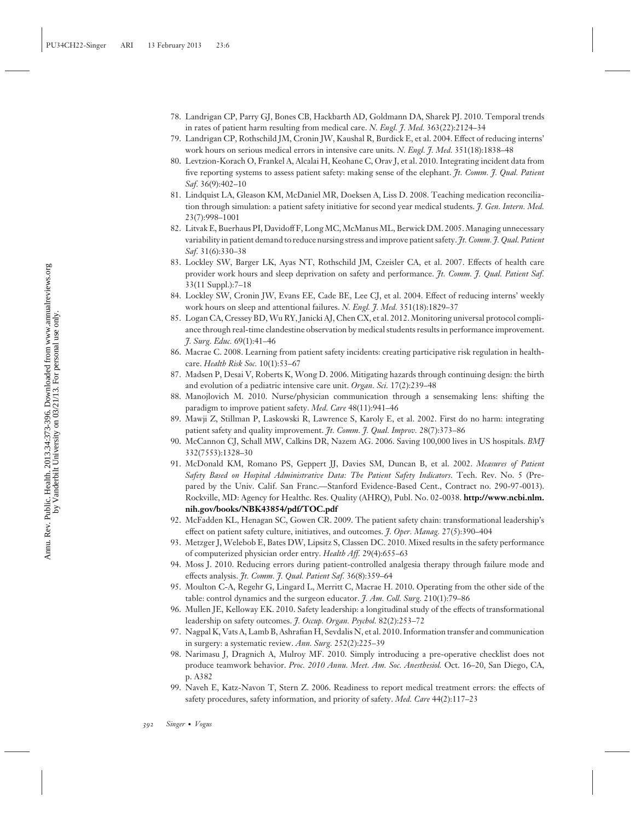- 78. Landrigan CP, Parry GJ, Bones CB, Hackbarth AD, Goldmann DA, Sharek PJ. 2010. Temporal trends in rates of patient harm resulting from medical care. *N. Engl. J. Med.* 363(22):2124–34
- 79. Landrigan CP, Rothschild JM, Cronin JW, Kaushal R, Burdick E, et al. 2004. Effect of reducing interns' work hours on serious medical errors in intensive care units. *N. Engl. 7. Med.* 351(18):1838–48
- 80. Levtzion-Korach O, Frankel A, Alcalai H, Keohane C, Orav J, et al. 2010. Integrating incident data from five reporting systems to assess patient safety: making sense of the elephant. *Jt. Comm. J. Qual. Patient Saf.* 36(9):402–10
- 81. Lindquist LA, Gleason KM, McDaniel MR, Doeksen A, Liss D. 2008. Teaching medication reconciliation through simulation: a patient safety initiative for second year medical students. *J. Gen. Intern. Med.* 23(7):998–1001
- 82. Litvak E, Buerhaus PI, Davidoff F, Long MC, McManus ML, Berwick DM. 2005. Managing unnecessary variability in patient demand to reduce nursing stress and improve patient safety. *Jt. Comm. J. Qual. Patient Saf.* 31(6):330–38
- 83. Lockley SW, Barger LK, Ayas NT, Rothschild JM, Czeisler CA, et al. 2007. Effects of health care provider work hours and sleep deprivation on safety and performance. *Jt. Comm. J. Qual. Patient Saf.* 33(11 Suppl.):7–18
- 84. Lockley SW, Cronin JW, Evans EE, Cade BE, Lee CJ, et al. 2004. Effect of reducing interns' weekly work hours on sleep and attentional failures. *N. Engl. J. Med.* 351(18):1829–37
- 85. Logan CA, Cressey BD,Wu RY, Janicki AJ, Chen CX, et al. 2012. Monitoring universal protocol compliance through real-time clandestine observation by medical students results in performance improvement. *J. Surg. Educ.* 69(1):41–46
- 86. Macrae C. 2008. Learning from patient safety incidents: creating participative risk regulation in healthcare. *Health Risk Soc.* 10(1):53–67
- 87. Madsen P, Desai V, Roberts K, Wong D. 2006. Mitigating hazards through continuing design: the birth and evolution of a pediatric intensive care unit. *Organ. Sci.* 17(2):239–48
- 88. Manojlovich M. 2010. Nurse/physician communication through a sensemaking lens: shifting the paradigm to improve patient safety. *Med. Care* 48(11):941–46
- 89. Mawji Z, Stillman P, Laskowski R, Lawrence S, Karoly E, et al. 2002. First do no harm: integrating patient safety and quality improvement. *Jt. Comm. J. Qual. Improv.* 28(7):373–86
- 90. McCannon CJ, Schall MW, Calkins DR, Nazem AG. 2006. Saving 100,000 lives in US hospitals. *BMJ* 332(7553):1328–30
- 91. McDonald KM, Romano PS, Geppert JJ, Davies SM, Duncan B, et al. 2002. *Measures of Patient Safety Based on Hospital Administrative Data: The Patient Safety Indicators*. Tech. Rev. No. 5 (Prepared by the Univ. Calif. San Franc.—Stanford Evidence-Based Cent., Contract no. 290-97-0013). Rockville, MD: Agency for Healthc. Res. Quality (AHRQ), Publ. No. 02-0038. **[http://www.ncbi.nlm.](http://www.ncbi.nlm.nih.gov/books/NBK43854/pdf/TOC.pdf) [nih.gov/books/NBK43854/pdf/TOC.pdf](http://www.ncbi.nlm.nih.gov/books/NBK43854/pdf/TOC.pdf)**
- 92. McFadden KL, Henagan SC, Gowen CR. 2009. The patient safety chain: transformational leadership's effect on patient safety culture, initiatives, and outcomes. *J. Oper. Manag.* 27(5):390–404
- 93. Metzger J, Welebob E, Bates DW, Lipsitz S, Classen DC. 2010. Mixed results in the safety performance of computerized physician order entry. *Health Aff.* 29(4):655–63
- 94. Moss J. 2010. Reducing errors during patient-controlled analgesia therapy through failure mode and effects analysis. *Jt. Comm. J. Qual. Patient Saf.* 36(8):359–64
- 95. Moulton C-A, Regehr G, Lingard L, Merritt C, Macrae H. 2010. Operating from the other side of the table: control dynamics and the surgeon educator. *J. Am. Coll. Surg.* 210(1):79–86
- 96. Mullen JE, Kelloway EK. 2010. Safety leadership: a longitudinal study of the effects of transformational leadership on safety outcomes. *J. Occup. Organ. Psychol.* 82(2):253–72
- 97. Nagpal K, Vats A, Lamb B, Ashrafian H, Sevdalis N, et al. 2010. Information transfer and communication in surgery: a systematic review. *Ann. Surg.* 252(2):225–39
- 98. Narimasu J, Dragnich A, Mulroy MF. 2010. Simply introducing a pre-operative checklist does not produce teamwork behavior. *Proc. 2010 Annu. Meet. Am. Soc. Anesthesiol.* Oct. 16–20, San Diego, CA, p. A382
- 99. Naveh E, Katz-Navon T, Stern Z. 2006. Readiness to report medical treatment errors: the effects of safety procedures, safety information, and priority of safety. *Med. Care* 44(2):117–23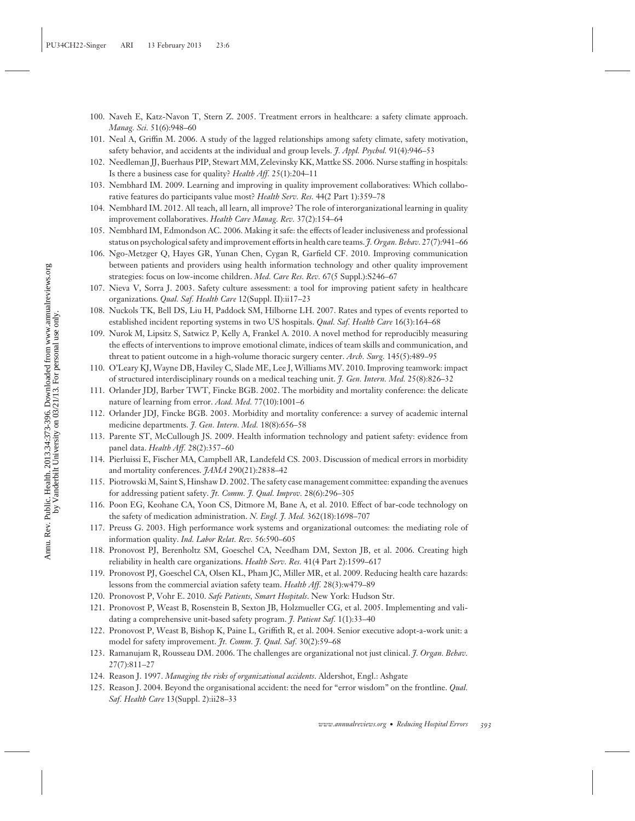- 100. Naveh E, Katz-Navon T, Stern Z. 2005. Treatment errors in healthcare: a safety climate approach. *Manag. Sci.* 51(6):948–60
- 101. Neal A, Griffin M. 2006. A study of the lagged relationships among safety climate, safety motivation, safety behavior, and accidents at the individual and group levels. *J. Appl. Psychol.* 91(4):946–53
- 102. Needleman JJ, Buerhaus PIP, Stewart MM, Zelevinsky KK, Mattke SS. 2006. Nurse staffing in hospitals: Is there a business case for quality? *Health Aff.* 25(1):204–11
- 103. Nembhard IM. 2009. Learning and improving in quality improvement collaboratives: Which collaborative features do participants value most? *Health Serv. Res.* 44(2 Part 1):359–78
- 104. Nembhard IM. 2012. All teach, all learn, all improve? The role of interorganizational learning in quality improvement collaboratives. *Health Care Manag. Rev.* 37(2):154–64
- 105. Nembhard IM, Edmondson AC. 2006. Making it safe: the effects of leader inclusiveness and professional status on psychological safety and improvement efforts in health care teams. *J. Organ. Behav.* 27(7):941–66
- 106. Ngo-Metzger Q, Hayes GR, Yunan Chen, Cygan R, Garfield CF. 2010. Improving communication between patients and providers using health information technology and other quality improvement strategies: focus on low-income children. *Med. Care Res. Rev.* 67(5 Suppl.):S246–67
- 107. Nieva V, Sorra J. 2003. Safety culture assessment: a tool for improving patient safety in healthcare organizations. *Qual. Saf. Health Care* 12(Suppl. II):ii17–23
- 108. Nuckols TK, Bell DS, Liu H, Paddock SM, Hilborne LH. 2007. Rates and types of events reported to established incident reporting systems in two US hospitals. *Qual. Saf. Health Care* 16(3):164–68
- 109. Nurok M, Lipsitz S, Satwicz P, Kelly A, Frankel A. 2010. A novel method for reproducibly measuring the effects of interventions to improve emotional climate, indices of team skills and communication, and threat to patient outcome in a high-volume thoracic surgery center. *Arch. Surg.* 145(5):489–95
- 110. O'Leary KJ, Wayne DB, Haviley C, Slade ME, Lee J, Williams MV. 2010. Improving teamwork: impact of structured interdisciplinary rounds on a medical teaching unit. *J. Gen. Intern. Med.* 25(8):826–32
- 111. Orlander JDJ, Barber TWT, Fincke BGB. 2002. The morbidity and mortality conference: the delicate nature of learning from error. *Acad. Med.* 77(10):1001–6
- 112. Orlander JDJ, Fincke BGB. 2003. Morbidity and mortality conference: a survey of academic internal medicine departments. *J. Gen. Intern. Med.* 18(8):656–58
- 113. Parente ST, McCullough JS. 2009. Health information technology and patient safety: evidence from panel data. *Health Aff.* 28(2):357–60
- 114. Pierluissi E, Fischer MA, Campbell AR, Landefeld CS. 2003. Discussion of medical errors in morbidity and mortality conferences. *JAMA* 290(21):2838–42
- 115. Piotrowski M, Saint S, Hinshaw D. 2002. The safety case management committee: expanding the avenues for addressing patient safety. *Jt. Comm. J. Qual. Improv.* 28(6):296–305
- 116. Poon EG, Keohane CA, Yoon CS, Ditmore M, Bane A, et al. 2010. Effect of bar-code technology on the safety of medication administration. *N. Engl. J. Med.* 362(18):1698–707
- 117. Preuss G. 2003. High performance work systems and organizational outcomes: the mediating role of information quality. *Ind. Labor Relat. Rev.* 56:590–605
- 118. Pronovost PJ, Berenholtz SM, Goeschel CA, Needham DM, Sexton JB, et al. 2006. Creating high reliability in health care organizations. *Health Serv. Res.* 41(4 Part 2):1599–617
- 119. Pronovost PJ, Goeschel CA, Olsen KL, Pham JC, Miller MR, et al. 2009. Reducing health care hazards: lessons from the commercial aviation safety team. *Health Aff.* 28(3):w479–89
- 120. Pronovost P, Vohr E. 2010. *Safe Patients, Smart Hospitals*. New York: Hudson Str.
- 121. Pronovost P, Weast B, Rosenstein B, Sexton JB, Holzmueller CG, et al. 2005. Implementing and validating a comprehensive unit-based safety program. *J. Patient Saf.* 1(1):33–40
- 122. Pronovost P, Weast B, Bishop K, Paine L, Griffith R, et al. 2004. Senior executive adopt-a-work unit: a model for safety improvement. *Jt. Comm. J. Qual. Saf.* 30(2):59–68
- 123. Ramanujam R, Rousseau DM. 2006. The challenges are organizational not just clinical. *J. Organ. Behav.* 27(7):811–27
- 124. Reason J. 1997. *Managing the risks of organizational accidents*. Aldershot, Engl.: Ashgate
- 125. Reason J. 2004. Beyond the organisational accident: the need for "error wisdom" on the frontline. *Qual. Saf. Health Care* 13(Suppl. 2):ii28–33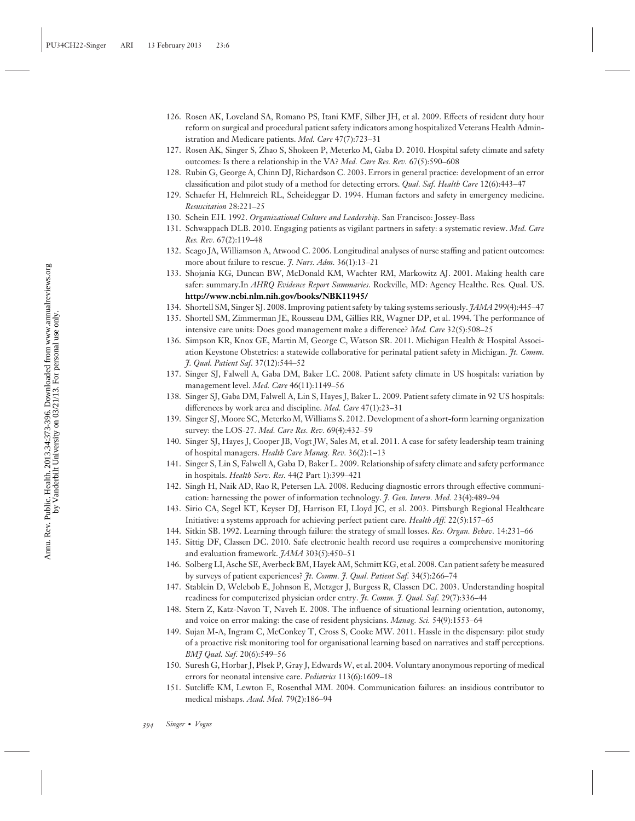- 126. Rosen AK, Loveland SA, Romano PS, Itani KMF, Silber JH, et al. 2009. Effects of resident duty hour reform on surgical and procedural patient safety indicators among hospitalized Veterans Health Administration and Medicare patients. *Med. Care* 47(7):723–31
- 127. Rosen AK, Singer S, Zhao S, Shokeen P, Meterko M, Gaba D. 2010. Hospital safety climate and safety outcomes: Is there a relationship in the VA? *Med. Care Res. Rev.* 67(5):590–608
- 128. Rubin G, George A, Chinn DJ, Richardson C. 2003. Errors in general practice: development of an error classification and pilot study of a method for detecting errors. *Qual. Saf. Health Care* 12(6):443–47
- 129. Schaefer H, Helmreich RL, Scheideggar D. 1994. Human factors and safety in emergency medicine. *Resuscitation* 28:221–25
- 130. Schein EH. 1992. *Organizational Culture and Leadership*. San Francisco: Jossey-Bass
- 131. Schwappach DLB. 2010. Engaging patients as vigilant partners in safety: a systematic review. *Med. Care Res. Rev.* 67(2):119–48
- 132. Seago JA, Williamson A, Atwood C. 2006. Longitudinal analyses of nurse staffing and patient outcomes: more about failure to rescue. *J. Nurs. Adm.* 36(1):13–21
- 133. Shojania KG, Duncan BW, McDonald KM, Wachter RM, Markowitz AJ. 2001. Making health care safer: summary.In *AHRQ Evidence Report Summaries*. Rockville, MD: Agency Healthc. Res. Qual. US. **<http://www.ncbi.nlm.nih.gov/books/NBK11945/>**
- 134. Shortell SM, Singer SJ. 2008. Improving patient safety by taking systems seriously. *JAMA* 299(4):445–47
- 135. Shortell SM, Zimmerman JE, Rousseau DM, Gillies RR, Wagner DP, et al. 1994. The performance of intensive care units: Does good management make a difference? *Med. Care* 32(5):508–25
- 136. Simpson KR, Knox GE, Martin M, George C, Watson SR. 2011. Michigan Health & Hospital Association Keystone Obstetrics: a statewide collaborative for perinatal patient safety in Michigan. *Jt. Comm. J. Qual. Patient Saf.* 37(12):544–52
- 137. Singer SJ, Falwell A, Gaba DM, Baker LC. 2008. Patient safety climate in US hospitals: variation by management level. *Med. Care* 46(11):1149–56
- 138. Singer SJ, Gaba DM, Falwell A, Lin S, Hayes J, Baker L. 2009. Patient safety climate in 92 US hospitals: differences by work area and discipline. *Med. Care* 47(1):23–31
- 139. Singer SJ, Moore SC, Meterko M, Williams S. 2012. Development of a short-form learning organization survey: the LOS-27. *Med. Care Res. Rev.* 69(4):432–59
- 140. Singer SJ, Hayes J, Cooper JB, Vogt JW, Sales M, et al. 2011. A case for safety leadership team training of hospital managers. *Health Care Manag. Rev.* 36(2):1–13
- 141. Singer S, Lin S, Falwell A, Gaba D, Baker L. 2009. Relationship of safety climate and safety performance in hospitals. *Health Serv. Res.* 44(2 Part 1):399–421
- 142. Singh H, Naik AD, Rao R, Petersen LA. 2008. Reducing diagnostic errors through effective communication: harnessing the power of information technology. *J. Gen. Intern. Med.* 23(4):489–94
- 143. Sirio CA, Segel KT, Keyser DJ, Harrison EI, Lloyd JC, et al. 2003. Pittsburgh Regional Healthcare Initiative: a systems approach for achieving perfect patient care. *Health Aff.* 22(5):157–65
- 144. Sitkin SB. 1992. Learning through failure: the strategy of small losses. *Res. Organ. Behav.* 14:231–66
- 145. Sittig DF, Classen DC. 2010. Safe electronic health record use requires a comprehensive monitoring and evaluation framework. *JAMA* 303(5):450–51
- 146. Solberg LI, Asche SE, Averbeck BM, Hayek AM, Schmitt KG, et al. 2008. Can patient safety be measured by surveys of patient experiences? *Jt. Comm. J. Qual. Patient Saf.* 34(5):266–74
- 147. Stablein D, Welebob E, Johnson E, Metzger J, Burgess R, Classen DC. 2003. Understanding hospital readiness for computerized physician order entry. *Jt. Comm. J. Qual. Saf.* 29(7):336–44
- 148. Stern Z, Katz-Navon T, Naveh E. 2008. The influence of situational learning orientation, autonomy, and voice on error making: the case of resident physicians. *Manag. Sci.* 54(9):1553–64
- 149. Sujan M-A, Ingram C, McConkey T, Cross S, Cooke MW. 2011. Hassle in the dispensary: pilot study of a proactive risk monitoring tool for organisational learning based on narratives and staff perceptions. *BMJ Qual. Saf.* 20(6):549–56
- 150. Suresh G, Horbar J, Plsek P, Gray J, Edwards W, et al. 2004. Voluntary anonymous reporting of medical errors for neonatal intensive care. *Pediatrics* 113(6):1609–18
- 151. Sutcliffe KM, Lewton E, Rosenthal MM. 2004. Communication failures: an insidious contributor to medical mishaps. *Acad. Med.* 79(2):186–94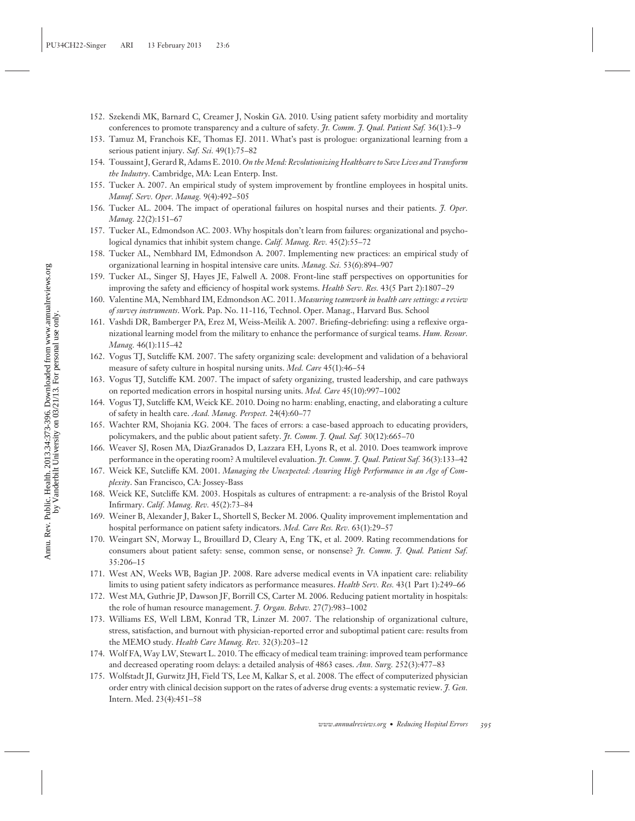- 152. Szekendi MK, Barnard C, Creamer J, Noskin GA. 2010. Using patient safety morbidity and mortality conferences to promote transparency and a culture of safety. *Jt. Comm. J. Qual. Patient Saf.* 36(1):3–9
- 153. Tamuz M, Franchois KE, Thomas EJ. 2011. What's past is prologue: organizational learning from a serious patient injury. *Saf. Sci.* 49(1):75–82
- 154. Toussaint J, Gerard R, Adams E. 2010. *On the Mend: Revolutionizing Healthcare to Save Lives and Transform the Industry*. Cambridge, MA: Lean Enterp. Inst.
- 155. Tucker A. 2007. An empirical study of system improvement by frontline employees in hospital units. *Manuf. Serv. Oper. Manag.* 9(4):492–505
- 156. Tucker AL. 2004. The impact of operational failures on hospital nurses and their patients. *J. Oper. Manag.* 22(2):151–67
- 157. Tucker AL, Edmondson AC. 2003. Why hospitals don't learn from failures: organizational and psychological dynamics that inhibit system change. *Calif. Manag. Rev.* 45(2):55–72
- 158. Tucker AL, Nembhard IM, Edmondson A. 2007. Implementing new practices: an empirical study of organizational learning in hospital intensive care units. *Manag. Sci.* 53(6):894–907
- 159. Tucker AL, Singer SJ, Hayes JE, Falwell A. 2008. Front-line staff perspectives on opportunities for improving the safety and efficiency of hospital work systems. *Health Serv. Res.* 43(5 Part 2):1807–29
- 160. Valentine MA, Nembhard IM, Edmondson AC. 2011. *Measuring teamwork in health care settings: a review of survey instruments*. Work. Pap. No. 11-116, Technol. Oper. Manag., Harvard Bus. School
- 161. Vashdi DR, Bamberger PA, Erez M, Weiss-Meilik A. 2007. Briefing-debriefing: using a reflexive organizational learning model from the military to enhance the performance of surgical teams. *Hum. Resour. Manag.* 46(1):115–42
- 162. Vogus TJ, Sutcliffe KM. 2007. The safety organizing scale: development and validation of a behavioral measure of safety culture in hospital nursing units. *Med. Care* 45(1):46–54
- 163. Vogus TJ, Sutcliffe KM. 2007. The impact of safety organizing, trusted leadership, and care pathways on reported medication errors in hospital nursing units. *Med. Care* 45(10):997–1002
- 164. Vogus TJ, Sutcliffe KM, Weick KE. 2010. Doing no harm: enabling, enacting, and elaborating a culture of safety in health care. *Acad. Manag. Perspect.* 24(4):60–77
- 165. Wachter RM, Shojania KG. 2004. The faces of errors: a case-based approach to educating providers, policymakers, and the public about patient safety. *Jt. Comm. J. Qual. Saf.* 30(12):665–70
- 166. Weaver SJ, Rosen MA, DiazGranados D, Lazzara EH, Lyons R, et al. 2010. Does teamwork improve performance in the operating room? A multilevel evaluation. *Jt. Comm. J. Qual. Patient Saf.* 36(3):133–42
- 167. Weick KE, Sutcliffe KM. 2001. *Managing the Unexpected: Assuring High Performance in an Age of Complexity*. San Francisco, CA: Jossey-Bass
- 168. Weick KE, Sutcliffe KM. 2003. Hospitals as cultures of entrapment: a re-analysis of the Bristol Royal Infirmary. *Calif. Manag. Rev.* 45(2):73–84
- 169. Weiner B, Alexander J, Baker L, Shortell S, Becker M. 2006. Quality improvement implementation and hospital performance on patient safety indicators. *Med. Care Res. Rev.* 63(1):29–57
- 170. Weingart SN, Morway L, Brouillard D, Cleary A, Eng TK, et al. 2009. Rating recommendations for consumers about patient safety: sense, common sense, or nonsense? *Jt. Comm. J. Qual. Patient Saf.* 35:206–15
- 171. West AN, Weeks WB, Bagian JP. 2008. Rare adverse medical events in VA inpatient care: reliability limits to using patient safety indicators as performance measures. *Health Serv. Res.* 43(1 Part 1):249–66
- 172. West MA, Guthrie JP, Dawson JF, Borrill CS, Carter M. 2006. Reducing patient mortality in hospitals: the role of human resource management. *J. Organ. Behav.* 27(7):983–1002
- 173. Williams ES, Well LBM, Konrad TR, Linzer M. 2007. The relationship of organizational culture, stress, satisfaction, and burnout with physician-reported error and suboptimal patient care: results from the MEMO study. *Health Care Manag. Rev.* 32(3):203–12
- 174. Wolf FA, Way LW, Stewart L. 2010. The efficacy of medical team training: improved team performance and decreased operating room delays: a detailed analysis of 4863 cases. *Ann. Surg.* 252(3):477–83
- 175. Wolfstadt JI, Gurwitz JH, Field TS, Lee M, Kalkar S, et al. 2008. The effect of computerized physician order entry with clinical decision support on the rates of adverse drug events: a systematic review. *J. Gen.* Intern. Med. 23(4):451–58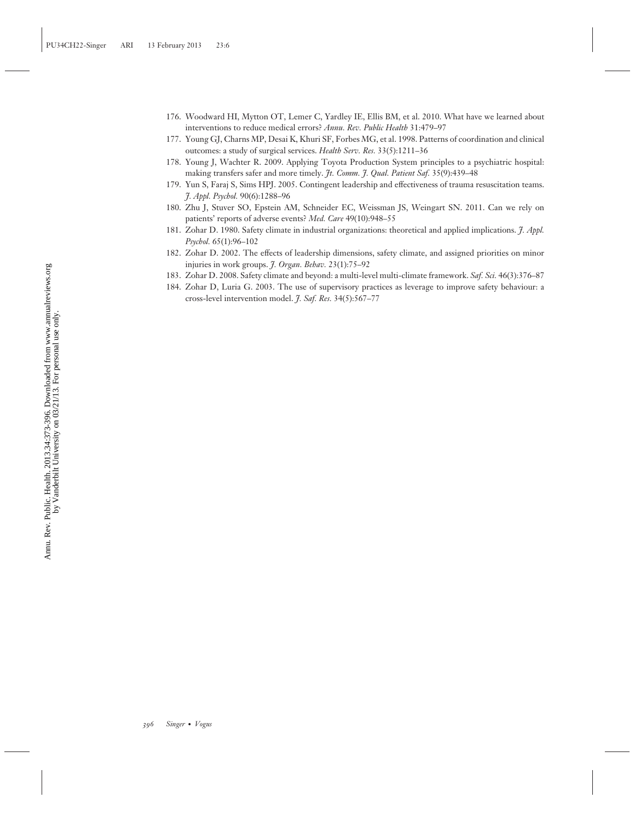- 176. Woodward HI, Mytton OT, Lemer C, Yardley IE, Ellis BM, et al. 2010. What have we learned about interventions to reduce medical errors? *Annu. Rev. Public Health* 31:479–97
- 177. Young GJ, Charns MP, Desai K, Khuri SF, Forbes MG, et al. 1998. Patterns of coordination and clinical outcomes: a study of surgical services. *Health Serv. Res.* 33(5):1211–36
- 178. Young J, Wachter R. 2009. Applying Toyota Production System principles to a psychiatric hospital: making transfers safer and more timely. *Jt. Comm. J. Qual. Patient Saf.* 35(9):439–48
- 179. Yun S, Faraj S, Sims HPJ. 2005. Contingent leadership and effectiveness of trauma resuscitation teams. *J. Appl. Psychol.* 90(6):1288–96
- 180. Zhu J, Stuver SO, Epstein AM, Schneider EC, Weissman JS, Weingart SN. 2011. Can we rely on patients' reports of adverse events? *Med. Care* 49(10):948–55
- 181. Zohar D. 1980. Safety climate in industrial organizations: theoretical and applied implications. *J. Appl. Psychol.* 65(1):96–102
- 182. Zohar D. 2002. The effects of leadership dimensions, safety climate, and assigned priorities on minor injuries in work groups. *J. Organ. Behav.* 23(1):75–92
- 183. Zohar D. 2008. Safety climate and beyond: a multi-level multi-climate framework. *Saf. Sci.* 46(3):376–87
- 184. Zohar D, Luria G. 2003. The use of supervisory practices as leverage to improve safety behaviour: a cross-level intervention model. *J. Saf. Res.* 34(5):567–77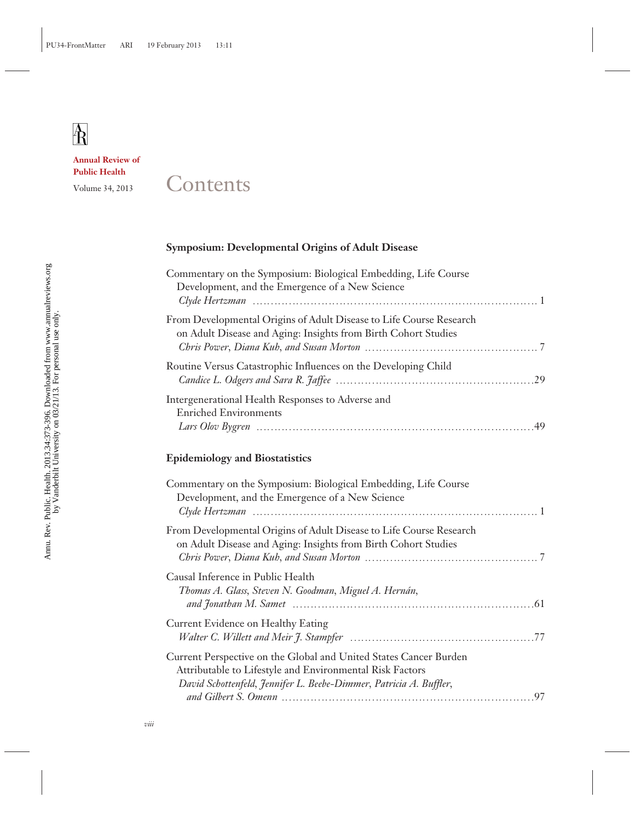**Annual Review of Public Health**

# Volume 34, 2013 Contents

# **Symposium: Developmental Origins of Adult Disease**

| Commentary on the Symposium: Biological Embedding, Life Course<br>Development, and the Emergence of a New Science                     |  |
|---------------------------------------------------------------------------------------------------------------------------------------|--|
| From Developmental Origins of Adult Disease to Life Course Research<br>on Adult Disease and Aging: Insights from Birth Cohort Studies |  |
| Routine Versus Catastrophic Influences on the Developing Child                                                                        |  |
| Intergenerational Health Responses to Adverse and<br><b>Enriched Environments</b>                                                     |  |
| <b>Epidemiology and Biostatistics</b>                                                                                                 |  |

| Commentary on the Symposium: Biological Embedding, Life Course                                                                                                                                      |  |
|-----------------------------------------------------------------------------------------------------------------------------------------------------------------------------------------------------|--|
| Development, and the Emergence of a New Science                                                                                                                                                     |  |
| From Developmental Origins of Adult Disease to Life Course Research<br>on Adult Disease and Aging: Insights from Birth Cohort Studies                                                               |  |
| Causal Inference in Public Health<br>Thomas A. Glass, Steven N. Goodman, Miguel A. Hernán,                                                                                                          |  |
| <b>Current Evidence on Healthy Eating</b>                                                                                                                                                           |  |
| Current Perspective on the Global and United States Cancer Burden<br>Attributable to Lifestyle and Environmental Risk Factors<br>David Schottenfeld, Jennifer L. Beebe-Dimmer, Patricia A. Buffler, |  |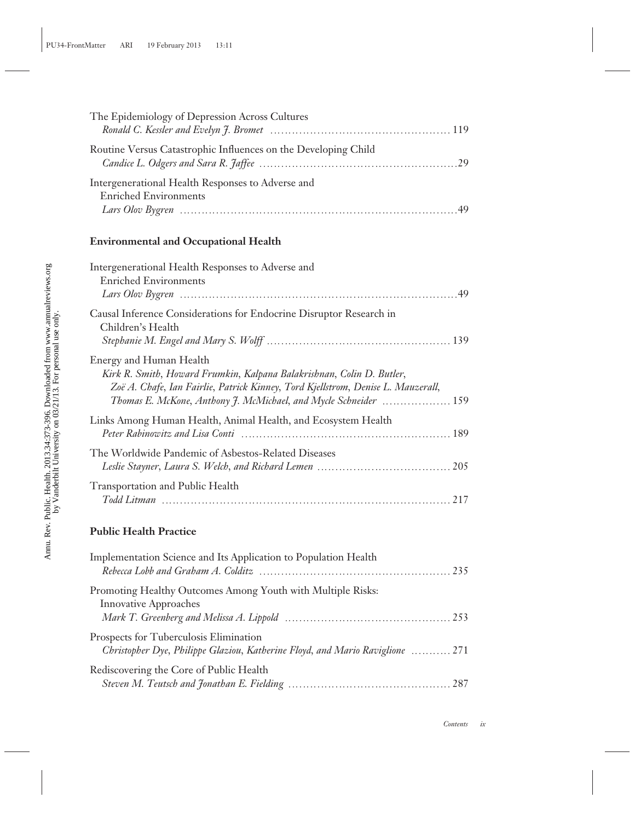| The Epidemiology of Depression Across Cultures                 |  |
|----------------------------------------------------------------|--|
|                                                                |  |
| Routine Versus Catastrophic Influences on the Developing Child |  |
|                                                                |  |
| Intergenerational Health Responses to Adverse and              |  |
| <b>Enriched Environments</b>                                   |  |
|                                                                |  |
|                                                                |  |

# **Environmental and Occupational Health**

| Intergenerational Health Responses to Adverse and<br><b>Enriched Environments</b>                                                                                                                                                                        |  |
|----------------------------------------------------------------------------------------------------------------------------------------------------------------------------------------------------------------------------------------------------------|--|
| Causal Inference Considerations for Endocrine Disruptor Research in<br>Children's Health                                                                                                                                                                 |  |
| Energy and Human Health<br>Kirk R. Smith, Howard Frumkin, Kalpana Balakrishnan, Colin D. Butler,<br>Zoë A. Chafe, Ian Fairlie, Patrick Kinney, Tord Kjellstrom, Denise L. Mauzerall,<br>Thomas E. McKone, Anthony J. McMichael, and Mycle Schneider  159 |  |
| Links Among Human Health, Animal Health, and Ecosystem Health                                                                                                                                                                                            |  |
| The Worldwide Pandemic of Asbestos-Related Diseases                                                                                                                                                                                                      |  |
| Transportation and Public Health                                                                                                                                                                                                                         |  |

# **Public Health Practice**

| Implementation Science and Its Application to Population Health                                                         |
|-------------------------------------------------------------------------------------------------------------------------|
| Promoting Healthy Outcomes Among Youth with Multiple Risks:<br><b>Innovative Approaches</b>                             |
| Prospects for Tuberculosis Elimination<br>Christopher Dye, Philippe Glaziou, Katherine Floyd, and Mario Raviglione  271 |
| Rediscovering the Core of Public Health                                                                                 |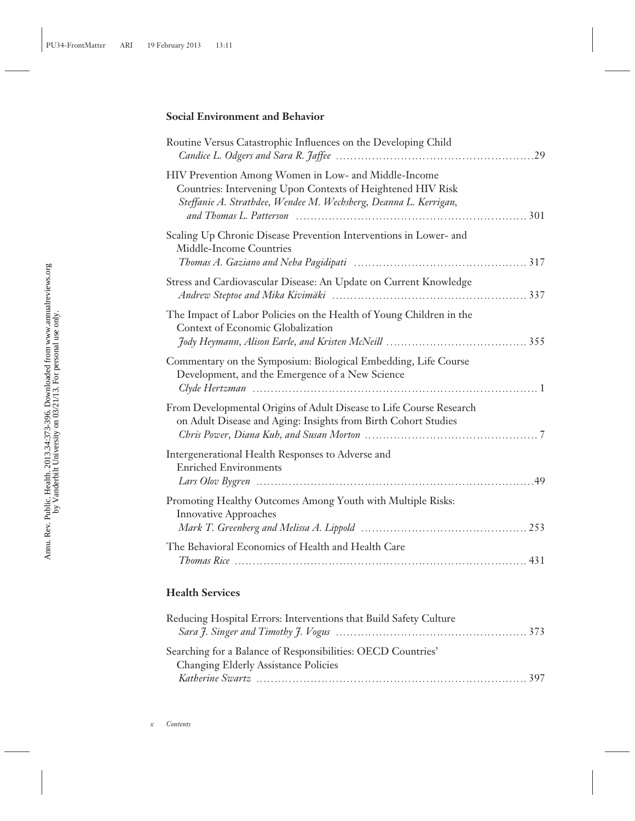# **Social Environment and Behavior**

| Routine Versus Catastrophic Influences on the Developing Child                                                                                                                                 |
|------------------------------------------------------------------------------------------------------------------------------------------------------------------------------------------------|
| HIV Prevention Among Women in Low- and Middle-Income<br>Countries: Intervening Upon Contexts of Heightened HIV Risk<br>Steffanie A. Strathdee, Wendee M. Wechsberg, Deanna L. Kerrigan,<br>301 |
| Scaling Up Chronic Disease Prevention Interventions in Lower- and<br>Middle-Income Countries                                                                                                   |
| Stress and Cardiovascular Disease: An Update on Current Knowledge                                                                                                                              |
| The Impact of Labor Policies on the Health of Young Children in the<br>Context of Economic Globalization                                                                                       |
| Commentary on the Symposium: Biological Embedding, Life Course<br>Development, and the Emergence of a New Science                                                                              |
| From Developmental Origins of Adult Disease to Life Course Research<br>on Adult Disease and Aging: Insights from Birth Cohort Studies                                                          |
| Intergenerational Health Responses to Adverse and<br><b>Enriched Environments</b>                                                                                                              |
| Promoting Healthy Outcomes Among Youth with Multiple Risks:<br><b>Innovative Approaches</b>                                                                                                    |
| The Behavioral Economics of Health and Health Care                                                                                                                                             |
|                                                                                                                                                                                                |

# **Health Services**

| Reducing Hospital Errors: Interventions that Build Safety Culture                                           |  |
|-------------------------------------------------------------------------------------------------------------|--|
|                                                                                                             |  |
| Searching for a Balance of Responsibilities: OECD Countries'<br><b>Changing Elderly Assistance Policies</b> |  |
|                                                                                                             |  |